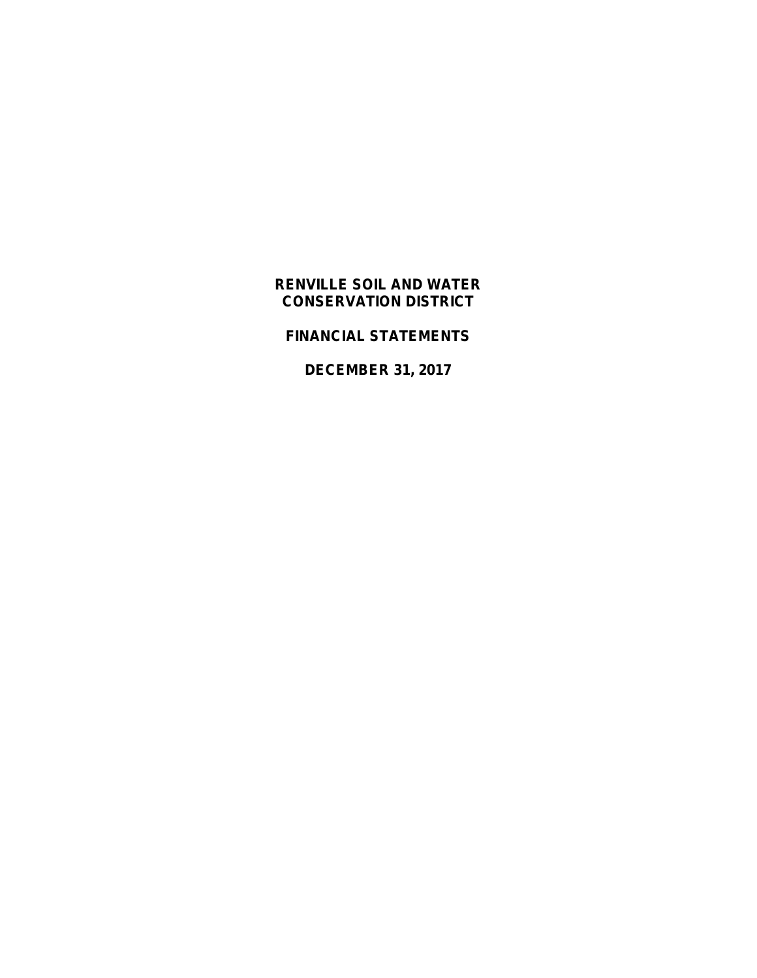# **RENVILLE SOIL AND WATER CONSERVATION DISTRICT**

**FINANCIAL STATEMENTS**

**DECEMBER 31, 2017**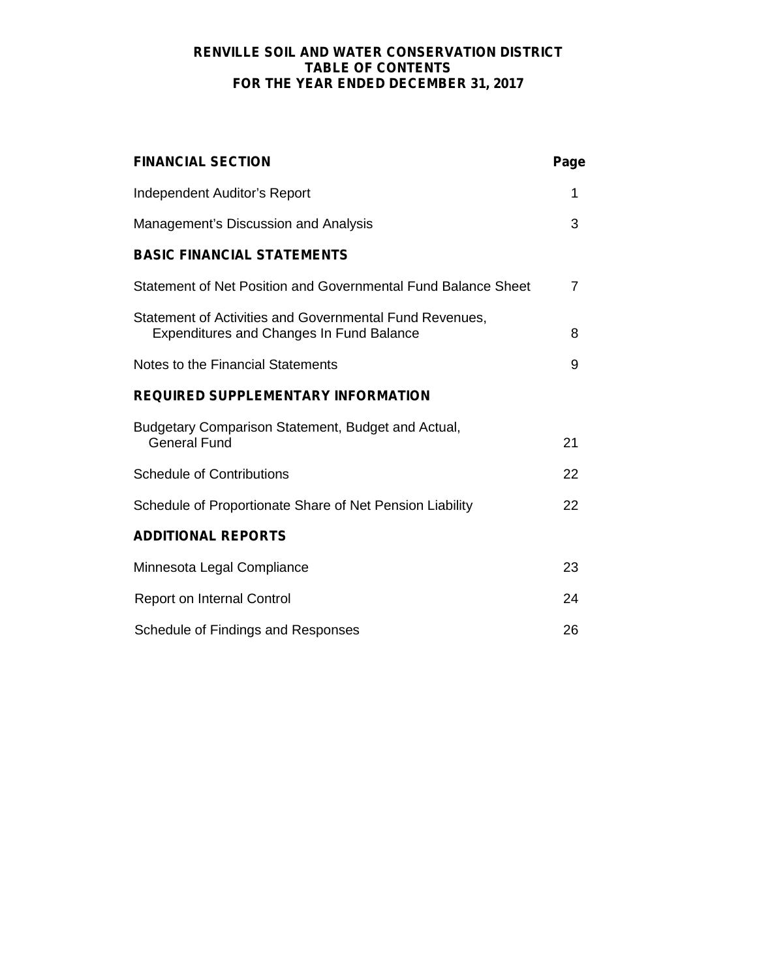## **RENVILLE SOIL AND WATER CONSERVATION DISTRICT TABLE OF CONTENTS FOR THE YEAR ENDED DECEMBER 31, 2017**

| <b>FINANCIAL SECTION</b>                                                                                   | Page |  |
|------------------------------------------------------------------------------------------------------------|------|--|
| Independent Auditor's Report                                                                               | 1    |  |
| Management's Discussion and Analysis                                                                       | 3    |  |
| <b>BASIC FINANCIAL STATEMENTS</b>                                                                          |      |  |
| Statement of Net Position and Governmental Fund Balance Sheet                                              | 7    |  |
| Statement of Activities and Governmental Fund Revenues,<br><b>Expenditures and Changes In Fund Balance</b> | 8    |  |
| Notes to the Financial Statements                                                                          | 9    |  |
| REQUIRED SUPPLEMENTARY INFORMATION                                                                         |      |  |
| Budgetary Comparison Statement, Budget and Actual,<br><b>General Fund</b>                                  | 21   |  |
| <b>Schedule of Contributions</b>                                                                           | 22   |  |
| Schedule of Proportionate Share of Net Pension Liability                                                   | 22   |  |
| <b>ADDITIONAL REPORTS</b>                                                                                  |      |  |
| Minnesota Legal Compliance                                                                                 | 23   |  |
| Report on Internal Control                                                                                 | 24   |  |
| Schedule of Findings and Responses                                                                         | 26   |  |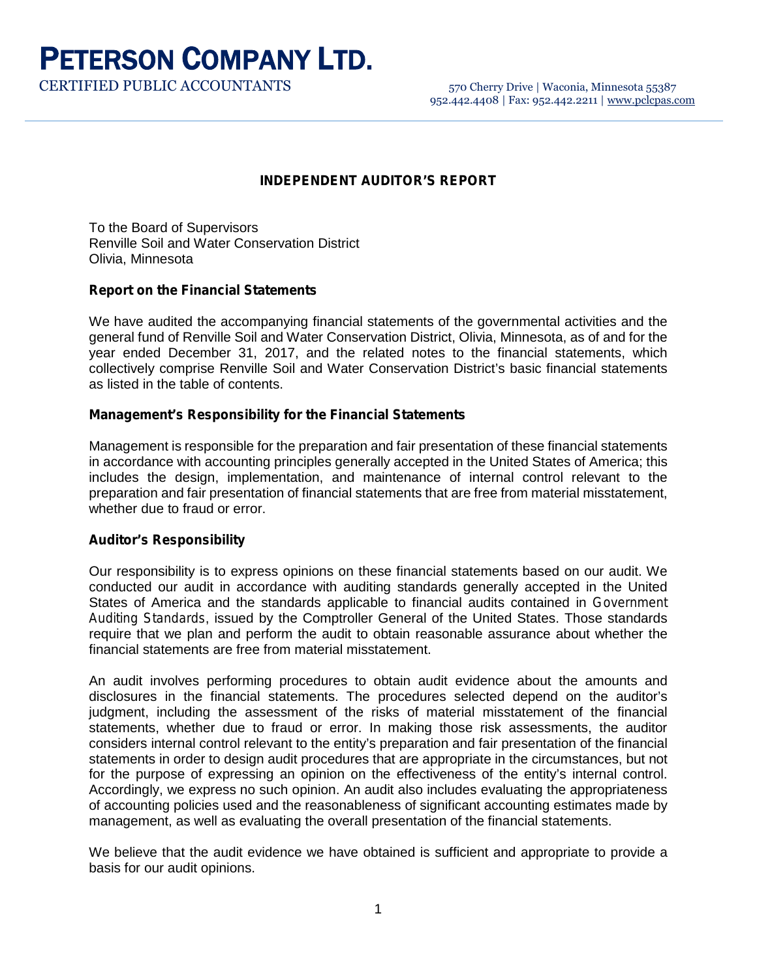**PETERSON COMPANY LTD.**

## **INDEPENDENT AUDITOR'S REPORT**

To the Board of Supervisors Renville Soil and Water Conservation District Olivia, Minnesota

## **Report on the Financial Statements**

We have audited the accompanying financial statements of the governmental activities and the general fund of Renville Soil and Water Conservation District, Olivia, Minnesota, as of and for the year ended December 31, 2017, and the related notes to the financial statements, which collectively comprise Renville Soil and Water Conservation District's basic financial statements as listed in the table of contents.

## **Management's Responsibility for the Financial Statements**

Management is responsible for the preparation and fair presentation of these financial statements in accordance with accounting principles generally accepted in the United States of America; this includes the design, implementation, and maintenance of internal control relevant to the preparation and fair presentation of financial statements that are free from material misstatement, whether due to fraud or error.

#### **Auditor's Responsibility**

Our responsibility is to express opinions on these financial statements based on our audit. We conducted our audit in accordance with auditing standards generally accepted in the United States of America and the standards applicable to financial audits contained in *Government Auditing Standards*, issued by the Comptroller General of the United States. Those standards require that we plan and perform the audit to obtain reasonable assurance about whether the financial statements are free from material misstatement.

An audit involves performing procedures to obtain audit evidence about the amounts and disclosures in the financial statements. The procedures selected depend on the auditor's judgment, including the assessment of the risks of material misstatement of the financial statements, whether due to fraud or error. In making those risk assessments, the auditor considers internal control relevant to the entity's preparation and fair presentation of the financial statements in order to design audit procedures that are appropriate in the circumstances, but not for the purpose of expressing an opinion on the effectiveness of the entity's internal control. Accordingly, we express no such opinion. An audit also includes evaluating the appropriateness of accounting policies used and the reasonableness of significant accounting estimates made by management, as well as evaluating the overall presentation of the financial statements.

We believe that the audit evidence we have obtained is sufficient and appropriate to provide a basis for our audit opinions.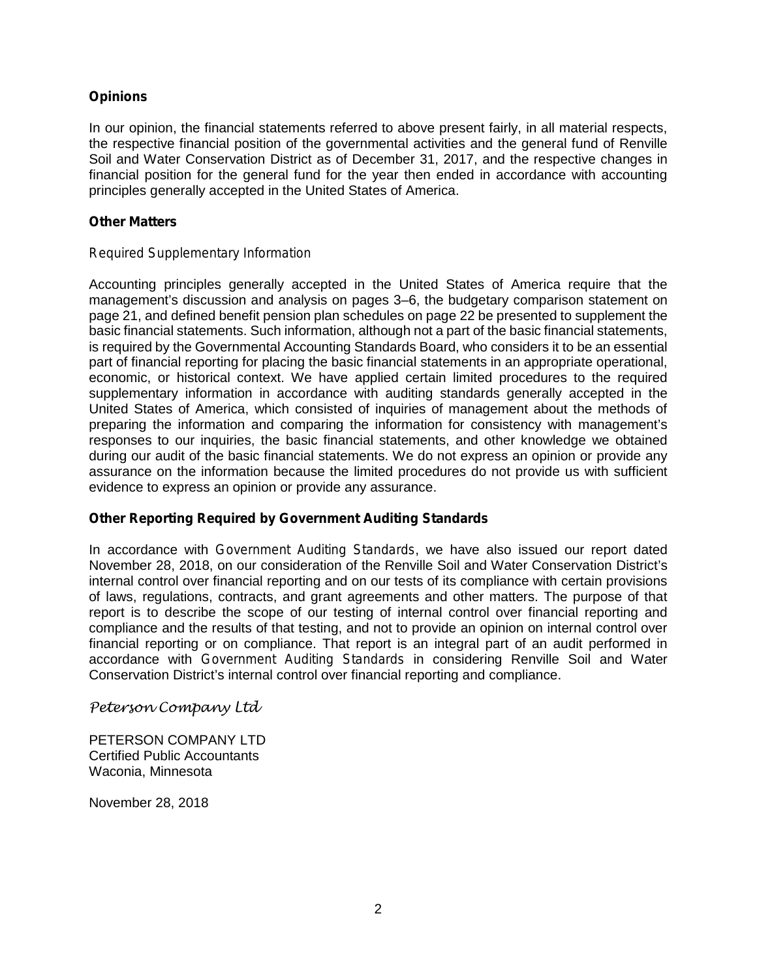## **Opinions**

In our opinion, the financial statements referred to above present fairly, in all material respects, the respective financial position of the governmental activities and the general fund of Renville Soil and Water Conservation District as of December 31, 2017, and the respective changes in financial position for the general fund for the year then ended in accordance with accounting principles generally accepted in the United States of America.

## **Other Matters**

## *Required Supplementary Information*

Accounting principles generally accepted in the United States of America require that the management's discussion and analysis on pages 3–6, the budgetary comparison statement on page 21, and defined benefit pension plan schedules on page 22 be presented to supplement the basic financial statements. Such information, although not a part of the basic financial statements, is required by the Governmental Accounting Standards Board, who considers it to be an essential part of financial reporting for placing the basic financial statements in an appropriate operational, economic, or historical context. We have applied certain limited procedures to the required supplementary information in accordance with auditing standards generally accepted in the United States of America, which consisted of inquiries of management about the methods of preparing the information and comparing the information for consistency with management's responses to our inquiries, the basic financial statements, and other knowledge we obtained during our audit of the basic financial statements. We do not express an opinion or provide any assurance on the information because the limited procedures do not provide us with sufficient evidence to express an opinion or provide any assurance.

## **Other Reporting Required by** *Government Auditing Standards*

In accordance with *Government Auditing Standards*, we have also issued our report dated November 28, 2018, on our consideration of the Renville Soil and Water Conservation District's internal control over financial reporting and on our tests of its compliance with certain provisions of laws, regulations, contracts, and grant agreements and other matters. The purpose of that report is to describe the scope of our testing of internal control over financial reporting and compliance and the results of that testing, and not to provide an opinion on internal control over financial reporting or on compliance. That report is an integral part of an audit performed in accordance with *Government Auditing Standards* in considering Renville Soil and Water Conservation District's internal control over financial reporting and compliance.

Peterson Company Ltd

PETERSON COMPANY LTD Certified Public Accountants Waconia, Minnesota

November 28, 2018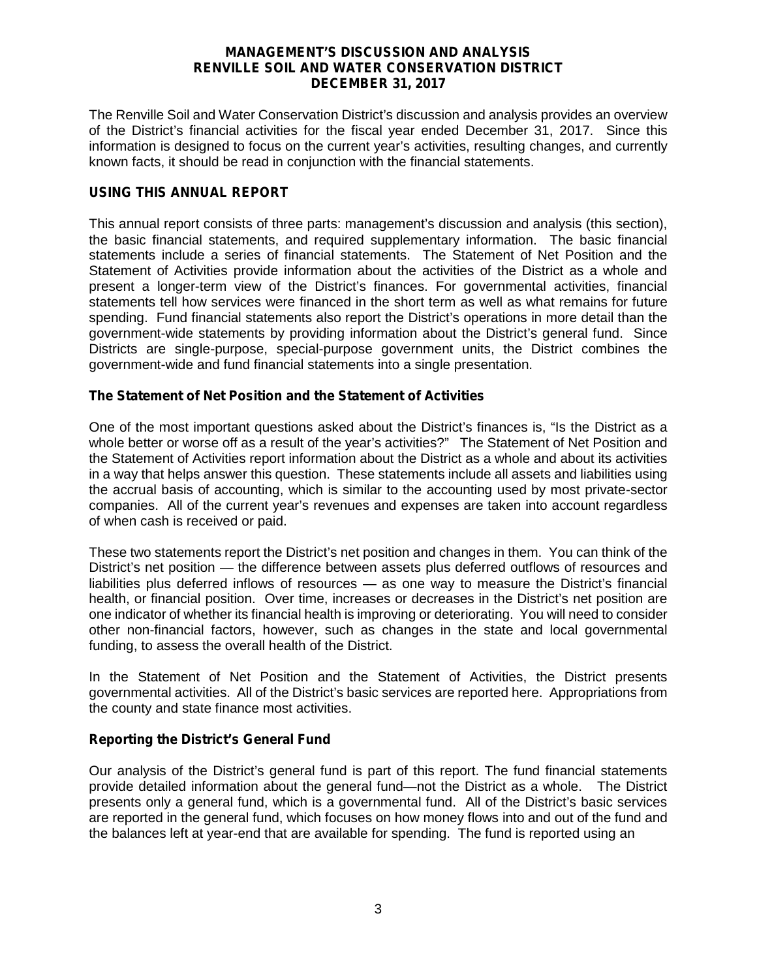#### **MANAGEMENT'S DISCUSSION AND ANALYSIS RENVILLE SOIL AND WATER CONSERVATION DISTRICT DECEMBER 31, 2017**

The Renville Soil and Water Conservation District's discussion and analysis provides an overview of the District's financial activities for the fiscal year ended December 31, 2017. Since this information is designed to focus on the current year's activities, resulting changes, and currently known facts, it should be read in conjunction with the financial statements.

## **USING THIS ANNUAL REPORT**

This annual report consists of three parts: management's discussion and analysis (this section), the basic financial statements, and required supplementary information. The basic financial statements include a series of financial statements. The Statement of Net Position and the Statement of Activities provide information about the activities of the District as a whole and present a longer-term view of the District's finances. For governmental activities, financial statements tell how services were financed in the short term as well as what remains for future spending. Fund financial statements also report the District's operations in more detail than the government-wide statements by providing information about the District's general fund. Since Districts are single-purpose, special-purpose government units, the District combines the government-wide and fund financial statements into a single presentation.

## **The Statement of Net Position and the Statement of Activities**

One of the most important questions asked about the District's finances is, "Is the District as a whole better or worse off as a result of the year's activities?" The Statement of Net Position and the Statement of Activities report information about the District as a whole and about its activities in a way that helps answer this question. These statements include all assets and liabilities using the accrual basis of accounting, which is similar to the accounting used by most private-sector companies. All of the current year's revenues and expenses are taken into account regardless of when cash is received or paid.

These two statements report the District's net position and changes in them. You can think of the District's net position — the difference between assets plus deferred outflows of resources and liabilities plus deferred inflows of resources — as one way to measure the District's financial health, or financial position. Over time, increases or decreases in the District's net position are one indicator of whether its financial health is improving or deteriorating. You will need to consider other non-financial factors, however, such as changes in the state and local governmental funding, to assess the overall health of the District.

In the Statement of Net Position and the Statement of Activities, the District presents governmental activities. All of the District's basic services are reported here. Appropriations from the county and state finance most activities.

## **Reporting the District's General Fund**

Our analysis of the District's general fund is part of this report. The fund financial statements provide detailed information about the general fund—not the District as a whole. The District presents only a general fund, which is a governmental fund. All of the District's basic services are reported in the general fund, which focuses on how money flows into and out of the fund and the balances left at year-end that are available for spending. The fund is reported using an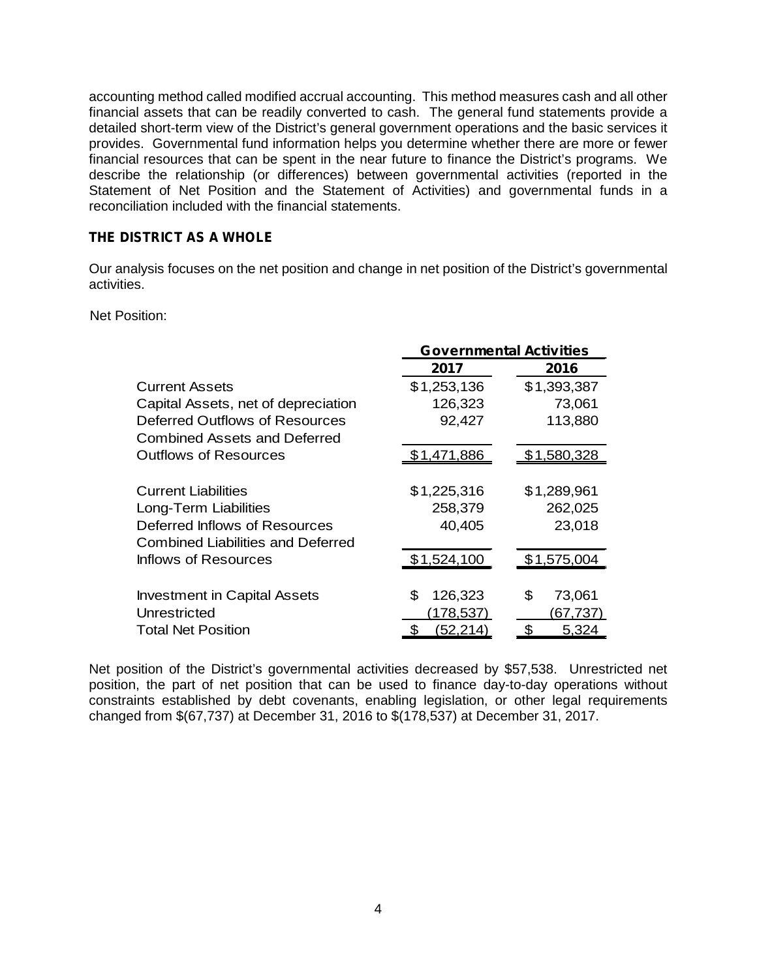accounting method called modified accrual accounting. This method measures cash and all other financial assets that can be readily converted to cash. The general fund statements provide a detailed short-term view of the District's general government operations and the basic services it provides. Governmental fund information helps you determine whether there are more or fewer financial resources that can be spent in the near future to finance the District's programs. We describe the relationship (or differences) between governmental activities (reported in the Statement of Net Position and the Statement of Activities) and governmental funds in a reconciliation included with the financial statements.

## **THE DISTRICT AS A WHOLE**

Our analysis focuses on the net position and change in net position of the District's governmental activities.

Net Position:

|                                          | <b>Governmental Activities</b> |              |  |  |
|------------------------------------------|--------------------------------|--------------|--|--|
|                                          | 2017                           | 2016         |  |  |
| <b>Current Assets</b>                    | \$1,253,136                    | \$1,393,387  |  |  |
| Capital Assets, net of depreciation      | 126,323                        | 73,061       |  |  |
| <b>Deferred Outflows of Resources</b>    | 92,427                         | 113,880      |  |  |
| Combined Assets and Deferred             |                                |              |  |  |
| <b>Outflows of Resources</b>             | \$1,471,886                    | \$1,580,328  |  |  |
|                                          |                                |              |  |  |
| <b>Current Liabilities</b>               | \$1,225,316                    | \$1,289,961  |  |  |
| Long-Term Liabilities                    | 258,379                        | 262,025      |  |  |
| Deferred Inflows of Resources            | 40,405                         | 23,018       |  |  |
| <b>Combined Liabilities and Deferred</b> |                                |              |  |  |
| Inflows of Resources                     | \$1,524,100                    | \$1,575,004  |  |  |
|                                          |                                |              |  |  |
| <b>Investment in Capital Assets</b>      | \$<br>126,323                  | \$<br>73,061 |  |  |
| Unrestricted                             | 178,537)                       | (67, 737)    |  |  |
| <b>Total Net Position</b>                | (52,214)                       | \$<br>5,324  |  |  |

Net position of the District's governmental activities decreased by \$57,538. Unrestricted net position, the part of net position that can be used to finance day-to-day operations without constraints established by debt covenants, enabling legislation, or other legal requirements changed from \$(67,737) at December 31, 2016 to \$(178,537) at December 31, 2017.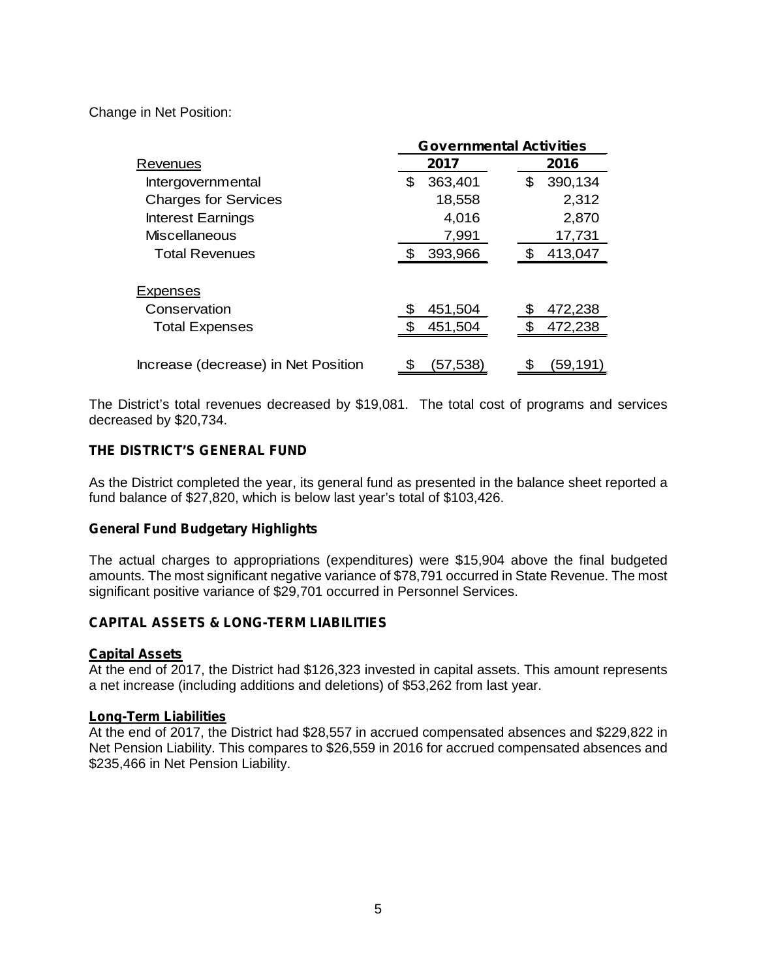Change in Net Position:

|                                     | <b>Governmental Activities</b> |                |  |  |
|-------------------------------------|--------------------------------|----------------|--|--|
| Revenues                            | 2017                           | 2016           |  |  |
| Intergovernmental                   | 363,401<br>\$                  | \$<br>390,134  |  |  |
| <b>Charges for Services</b>         | 18,558                         | 2,312          |  |  |
| <b>Interest Earnings</b>            | 4,016                          | 2,870          |  |  |
| <b>Miscellaneous</b>                | 7,991                          | 17,731         |  |  |
| <b>Total Revenues</b>               | 393,966                        | 413,047        |  |  |
|                                     |                                |                |  |  |
| <u>Expenses</u>                     |                                |                |  |  |
| Conservation                        | 451,504                        | 472,238        |  |  |
| <b>Total Expenses</b>               | 451,504                        | 472,238        |  |  |
|                                     |                                |                |  |  |
| Increase (decrease) in Net Position | (57,538)                       | \$<br>(59,191) |  |  |

The District's total revenues decreased by \$19,081. The total cost of programs and services decreased by \$20,734.

## **THE DISTRICT'S GENERAL FUND**

As the District completed the year, its general fund as presented in the balance sheet reported a fund balance of \$27,820, which is below last year's total of \$103,426.

#### **General Fund Budgetary Highlights**

The actual charges to appropriations (expenditures) were \$15,904 above the final budgeted amounts. The most significant negative variance of \$78,791 occurred in State Revenue. The most significant positive variance of \$29,701 occurred in Personnel Services.

## **CAPITAL ASSETS & LONG-TERM LIABILITIES**

#### **Capital Assets**

At the end of 2017, the District had \$126,323 invested in capital assets. This amount represents a net increase (including additions and deletions) of \$53,262 from last year.

## **Long-Term Liabilities**

At the end of 2017, the District had \$28,557 in accrued compensated absences and \$229,822 in Net Pension Liability. This compares to \$26,559 in 2016 for accrued compensated absences and \$235,466 in Net Pension Liability.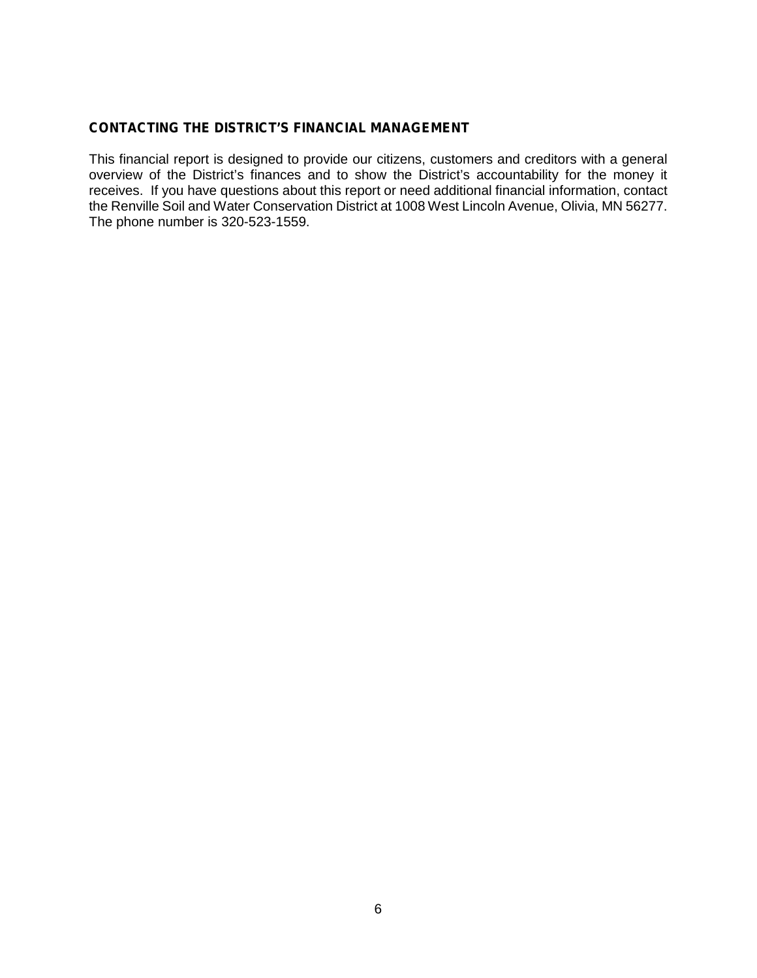## **CONTACTING THE DISTRICT'S FINANCIAL MANAGEMENT**

This financial report is designed to provide our citizens, customers and creditors with a general overview of the District's finances and to show the District's accountability for the money it receives. If you have questions about this report or need additional financial information, contact the Renville Soil and Water Conservation District at 1008 West Lincoln Avenue, Olivia, MN 56277.<br>The phone number is 320-523-1559.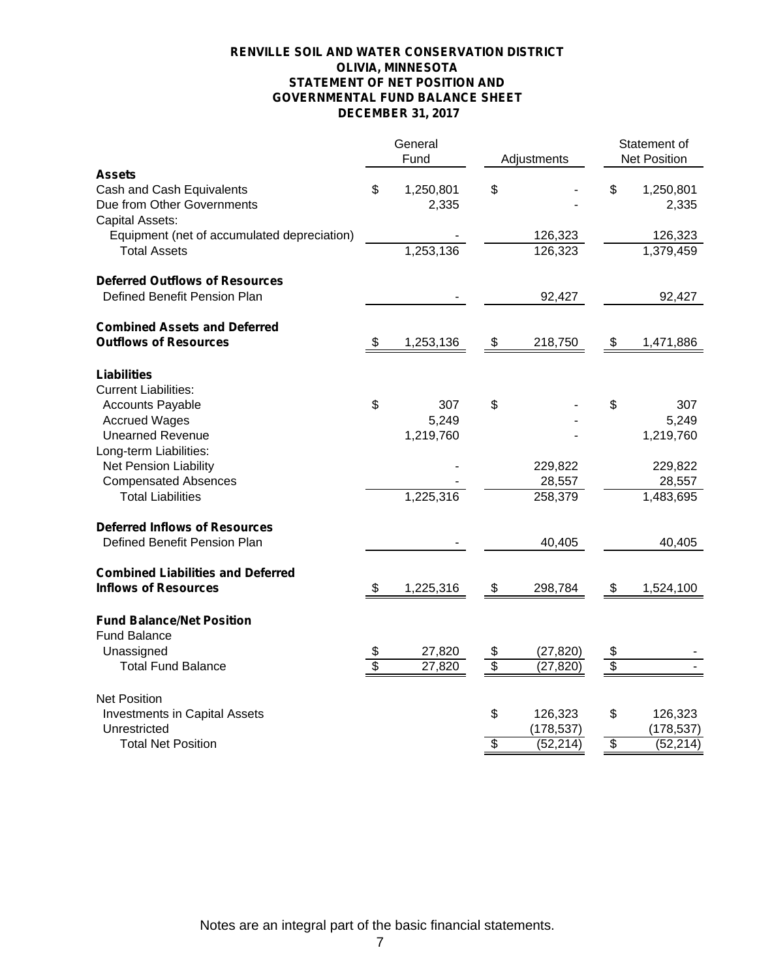#### **RENVILLE SOIL AND WATER CONSERVATION DISTRICT OLIVIA, MINNESOTA STATEMENT OF NET POSITION AND GOVERNMENTAL FUND BALANCE SHEET DECEMBER 31, 2017**

|                                             | General                    |           |                            |             |                     | Statement of |  |
|---------------------------------------------|----------------------------|-----------|----------------------------|-------------|---------------------|--------------|--|
|                                             |                            | Fund      |                            | Adjustments | <b>Net Position</b> |              |  |
| <b>Assets</b>                               |                            |           |                            |             |                     |              |  |
| Cash and Cash Equivalents                   | \$                         | 1,250,801 | \$                         |             | \$                  | 1,250,801    |  |
| Due from Other Governments                  |                            | 2,335     |                            |             |                     | 2,335        |  |
| Capital Assets:                             |                            |           |                            |             |                     |              |  |
| Equipment (net of accumulated depreciation) |                            |           |                            | 126,323     |                     | 126,323      |  |
| <b>Total Assets</b>                         |                            | 1,253,136 |                            | 126,323     |                     | 1,379,459    |  |
| <b>Deferred Outflows of Resources</b>       |                            |           |                            |             |                     |              |  |
| Defined Benefit Pension Plan                |                            |           |                            | 92,427      |                     | 92,427       |  |
| <b>Combined Assets and Deferred</b>         |                            |           |                            |             |                     |              |  |
| <b>Outflows of Resources</b>                | $\boldsymbol{\mathsf{\$}}$ | 1,253,136 | $\boldsymbol{\mathsf{\$}}$ | 218,750     | \$                  | 1,471,886    |  |
| <b>Liabilities</b>                          |                            |           |                            |             |                     |              |  |
| <b>Current Liabilities:</b>                 |                            |           |                            |             |                     |              |  |
| <b>Accounts Payable</b>                     | \$                         | 307       | \$                         |             | \$                  | 307          |  |
| <b>Accrued Wages</b>                        |                            | 5,249     |                            |             |                     | 5,249        |  |
| <b>Unearned Revenue</b>                     |                            | 1,219,760 |                            |             |                     | 1,219,760    |  |
| Long-term Liabilities:                      |                            |           |                            |             |                     |              |  |
| Net Pension Liability                       |                            |           |                            | 229,822     |                     | 229,822      |  |
| <b>Compensated Absences</b>                 |                            |           |                            | 28,557      |                     | 28,557       |  |
| <b>Total Liabilities</b>                    |                            | 1,225,316 |                            | 258,379     |                     | 1,483,695    |  |
| <b>Deferred Inflows of Resources</b>        |                            |           |                            |             |                     |              |  |
| Defined Benefit Pension Plan                |                            |           |                            | 40,405      |                     | 40,405       |  |
| <b>Combined Liabilities and Deferred</b>    |                            |           |                            |             |                     |              |  |
| <b>Inflows of Resources</b>                 | \$                         | 1,225,316 | \$                         | 298,784     | \$                  | 1,524,100    |  |
| <b>Fund Balance/Net Position</b>            |                            |           |                            |             |                     |              |  |
| <b>Fund Balance</b>                         |                            |           |                            |             |                     |              |  |
| Unassigned                                  | \$                         | 27,820    | \$                         | (27, 820)   | \$                  |              |  |
| <b>Total Fund Balance</b>                   | $\overline{\$}$            | 27,820    | $\overline{\mathcal{E}}$   | (27, 820)   | $\overline{\$}$     |              |  |
| <b>Net Position</b>                         |                            |           |                            |             |                     |              |  |
| <b>Investments in Capital Assets</b>        |                            |           | \$                         | 126,323     | \$                  | 126,323      |  |
| Unrestricted                                |                            |           |                            | (178, 537)  |                     | (178, 537)   |  |
| <b>Total Net Position</b>                   |                            |           | $\overline{\mathbf{e}}$    | (52, 214)   | $\overline{\$}$     | (52, 214)    |  |

Notes are an integral part of the basic financial statements.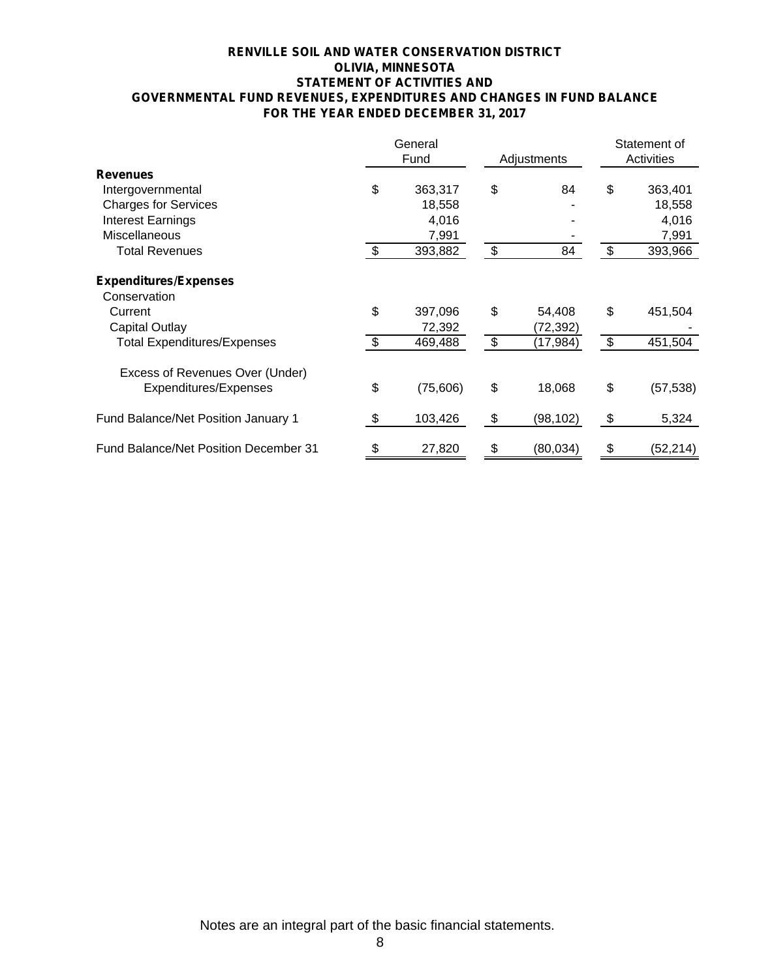#### **RENVILLE SOIL AND WATER CONSERVATION DISTRICT OLIVIA, MINNESOTA STATEMENT OF ACTIVITIES AND GOVERNMENTAL FUND REVENUES, EXPENDITURES AND CHANGES IN FUND BALANCE FOR THE YEAR ENDED DECEMBER 31, 2017**

|                                              |                           | General<br>Fund | Adjustments     | Statement of<br>Activities |
|----------------------------------------------|---------------------------|-----------------|-----------------|----------------------------|
| <b>Revenues</b>                              |                           |                 |                 |                            |
| Intergovernmental                            | \$                        | 363,317         | \$<br>84        | \$<br>363,401              |
| <b>Charges for Services</b>                  |                           | 18,558          |                 | 18,558                     |
| Interest Earnings                            |                           | 4,016           |                 | 4,016                      |
| Miscellaneous                                |                           | 7,991           |                 | 7,991                      |
| <b>Total Revenues</b>                        | \$                        | 393,882         | \$<br>84        | \$<br>393,966              |
| <b>Expenditures/Expenses</b>                 |                           |                 |                 |                            |
| Conservation                                 |                           |                 |                 |                            |
| Current                                      | \$                        | 397,096         | \$<br>54,408    | \$<br>451,504              |
| <b>Capital Outlay</b>                        |                           | 72,392          | (72, 392)       |                            |
| <b>Total Expenditures/Expenses</b>           | $\boldsymbol{\mathsf{S}}$ | 469,488         | \$<br>(17, 984) | \$<br>451,504              |
| Excess of Revenues Over (Under)              |                           |                 |                 |                            |
| Expenditures/Expenses                        | \$                        | (75,606)        | \$<br>18,068    | \$<br>(57, 538)            |
| Fund Balance/Net Position January 1          | \$                        | 103,426         | \$<br>(98, 102) | \$<br>5,324                |
| <b>Fund Balance/Net Position December 31</b> | \$                        | 27,820          | \$<br>(80, 034) | \$<br>(52, 214)            |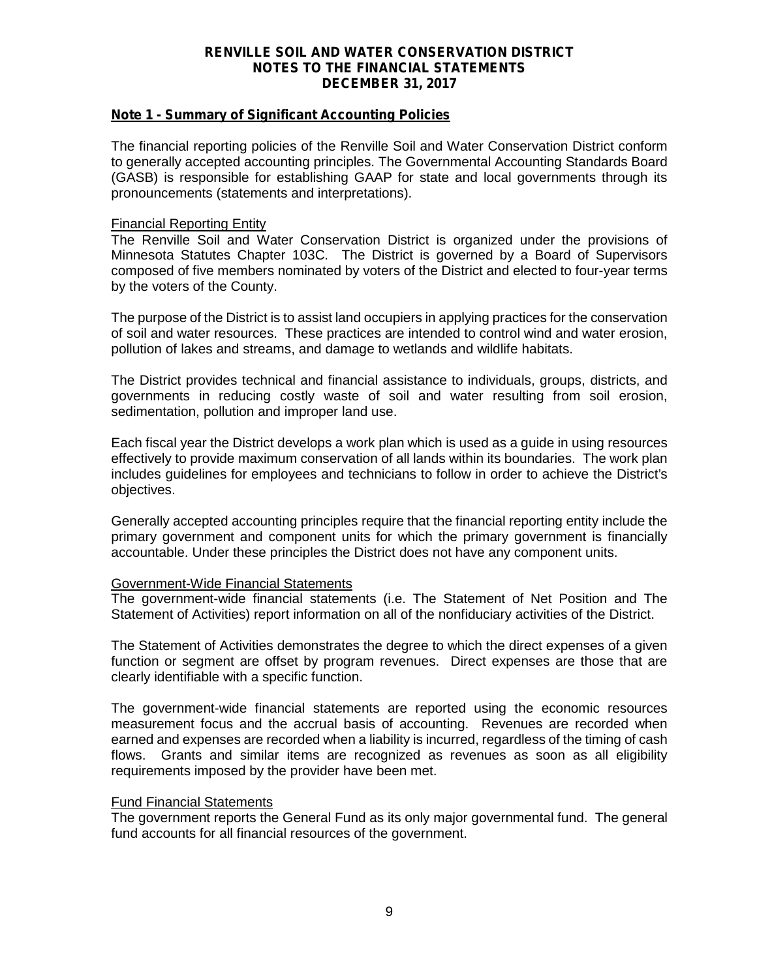#### **Note 1 - Summary of Significant Accounting Policies**

The financial reporting policies of the Renville Soil and Water Conservation District conform to generally accepted accounting principles. The Governmental Accounting Standards Board (GASB) is responsible for establishing GAAP for state and local governments through its pronouncements (statements and interpretations).

#### Financial Reporting Entity

The Renville Soil and Water Conservation District is organized under the provisions of Minnesota Statutes Chapter 103C. The District is governed by a Board of Supervisors composed of five members nominated by voters of the District and elected to four-year terms by the voters of the County.

The purpose of the District is to assist land occupiers in applying practices for the conservation of soil and water resources. These practices are intended to control wind and water erosion, pollution of lakes and streams, and damage to wetlands and wildlife habitats.

The District provides technical and financial assistance to individuals, groups, districts, and governments in reducing costly waste of soil and water resulting from soil erosion, sedimentation, pollution and improper land use.

Each fiscal year the District develops a work plan which is used as a guide in using resources effectively to provide maximum conservation of all lands within its boundaries. The work plan includes guidelines for employees and technicians to follow in order to achieve the District's objectives.

Generally accepted accounting principles require that the financial reporting entity include the primary government and component units for which the primary government is financially accountable. Under these principles the District does not have any component units.

#### Government-Wide Financial Statements

The government-wide financial statements (i.e. The Statement of Net Position and The Statement of Activities) report information on all of the nonfiduciary activities of the District.

The Statement of Activities demonstrates the degree to which the direct expenses of a given function or segment are offset by program revenues. Direct expenses are those that are clearly identifiable with a specific function.

The government-wide financial statements are reported using the economic resources measurement focus and the accrual basis of accounting. Revenues are recorded when earned and expenses are recorded when a liability is incurred, regardless of the timing of cash flows. Grants and similar items are recognized as revenues as soon as all eligibility requirements imposed by the provider have been met.

#### Fund Financial Statements

The government reports the General Fund as its only major governmental fund. The general fund accounts for all financial resources of the government.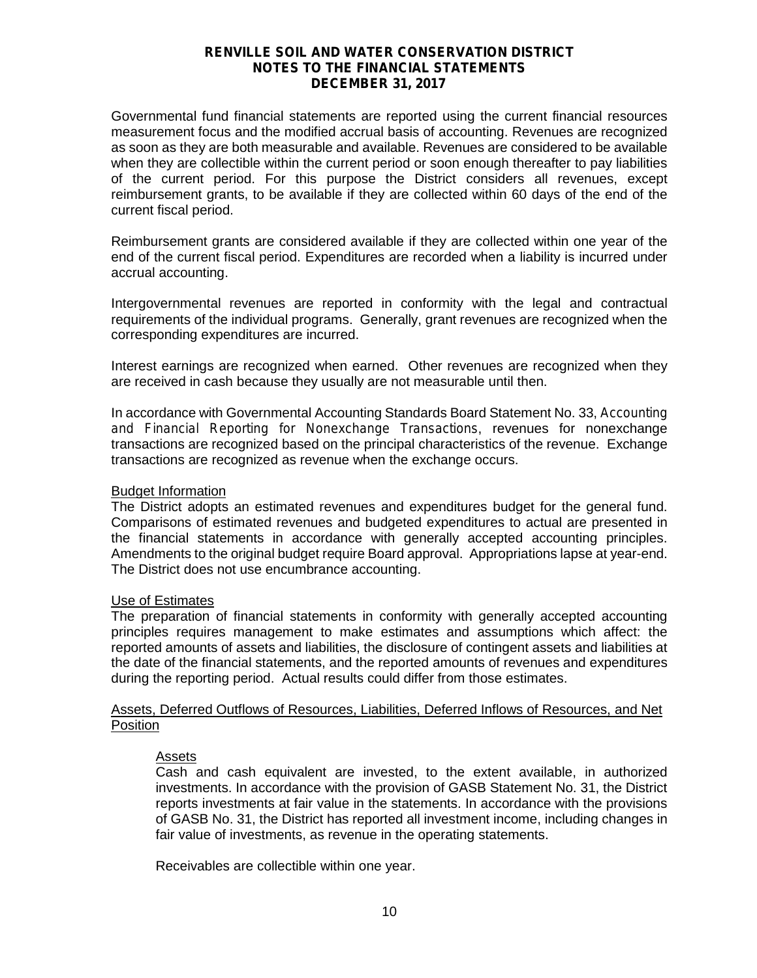Governmental fund financial statements are reported using the current financial resources measurement focus and the modified accrual basis of accounting. Revenues are recognized as soon as they are both measurable and available. Revenues are considered to be available when they are collectible within the current period or soon enough thereafter to pay liabilities of the current period. For this purpose the District considers all revenues, except reimbursement grants, to be available if they are collected within 60 days of the end of the current fiscal period.

Reimbursement grants are considered available if they are collected within one year of the end of the current fiscal period. Expenditures are recorded when a liability is incurred under accrual accounting.

Intergovernmental revenues are reported in conformity with the legal and contractual requirements of the individual programs. Generally, grant revenues are recognized when the corresponding expenditures are incurred.

Interest earnings are recognized when earned. Other revenues are recognized when they are received in cash because they usually are not measurable until then.

In accordance with Governmental Accounting Standards Board Statement No. 33, *Accounting and Financial Reporting for Nonexchange Transactions*, revenues for nonexchange transactions are recognized based on the principal characteristics of the revenue. Exchange transactions are recognized as revenue when the exchange occurs.

#### Budget Information

The District adopts an estimated revenues and expenditures budget for the general fund. Comparisons of estimated revenues and budgeted expenditures to actual are presented in the financial statements in accordance with generally accepted accounting principles. Amendments to the original budget require Board approval. Appropriations lapse at year-end. The District does not use encumbrance accounting.

#### Use of Estimates

The preparation of financial statements in conformity with generally accepted accounting principles requires management to make estimates and assumptions which affect: the reported amounts of assets and liabilities, the disclosure of contingent assets and liabilities at the date of the financial statements, and the reported amounts of revenues and expenditures during the reporting period. Actual results could differ from those estimates.

#### Assets, Deferred Outflows of Resources, Liabilities, Deferred Inflows of Resources, and Net Position

#### Assets

Cash and cash equivalent are invested, to the extent available, in authorized investments. In accordance with the provision of GASB Statement No. 31, the District reports investments at fair value in the statements. In accordance with the provisions of GASB No. 31, the District has reported all investment income, including changes in fair value of investments, as revenue in the operating statements.

Receivables are collectible within one year.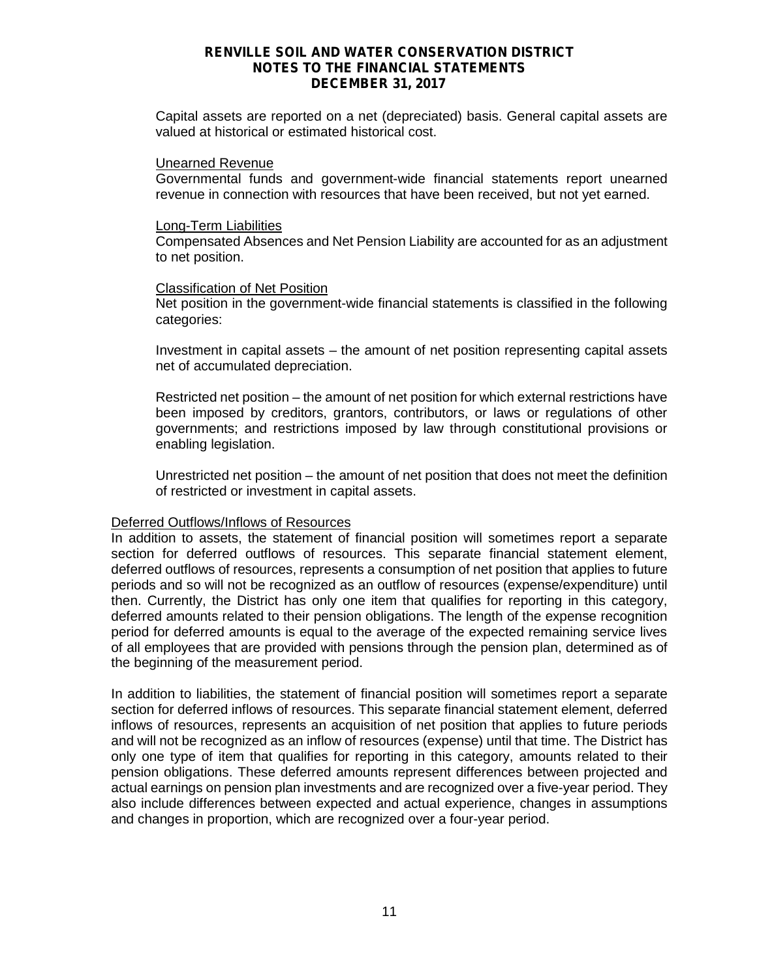Capital assets are reported on a net (depreciated) basis. General capital assets are valued at historical or estimated historical cost.

#### Unearned Revenue

Governmental funds and government-wide financial statements report unearned revenue in connection with resources that have been received, but not yet earned.

#### Long-Term Liabilities

Compensated Absences and Net Pension Liability are accounted for as an adjustment to net position.

#### Classification of Net Position

Net position in the government-wide financial statements is classified in the following categories:

Investment in capital assets – the amount of net position representing capital assets net of accumulated depreciation.

Restricted net position – the amount of net position for which external restrictions have been imposed by creditors, grantors, contributors, or laws or regulations of other governments; and restrictions imposed by law through constitutional provisions or enabling legislation.

Unrestricted net position – the amount of net position that does not meet the definition of restricted or investment in capital assets.

#### Deferred Outflows/Inflows of Resources

In addition to assets, the statement of financial position will sometimes report a separate section for deferred outflows of resources. This separate financial statement element, deferred outflows of resources, represents a consumption of net position that applies to future periods and so will not be recognized as an outflow of resources (expense/expenditure) until then. Currently, the District has only one item that qualifies for reporting in this category, deferred amounts related to their pension obligations. The length of the expense recognition period for deferred amounts is equal to the average of the expected remaining service lives of all employees that are provided with pensions through the pension plan, determined as of the beginning of the measurement period.

In addition to liabilities, the statement of financial position will sometimes report a separate section for deferred inflows of resources. This separate financial statement element, deferred inflows of resources, represents an acquisition of net position that applies to future periods and will not be recognized as an inflow of resources (expense) until that time. The District has only one type of item that qualifies for reporting in this category, amounts related to their pension obligations. These deferred amounts represent differences between projected and actual earnings on pension plan investments and are recognized over a five-year period. They also include differences between expected and actual experience, changes in assumptions and changes in proportion, which are recognized over a four-year period.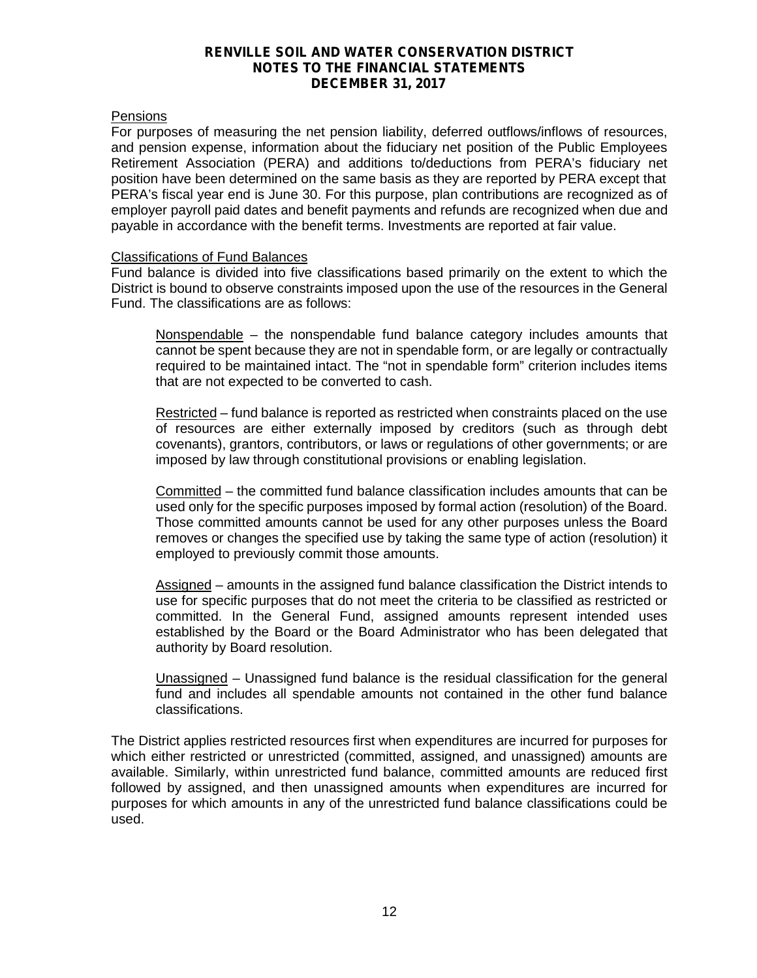#### Pensions

For purposes of measuring the net pension liability, deferred outflows/inflows of resources, and pension expense, information about the fiduciary net position of the Public Employees Retirement Association (PERA) and additions to/deductions from PERA's fiduciary net position have been determined on the same basis as they are reported by PERA except that PERA's fiscal year end is June 30. For this purpose, plan contributions are recognized as of employer payroll paid dates and benefit payments and refunds are recognized when due and payable in accordance with the benefit terms. Investments are reported at fair value.

#### Classifications of Fund Balances

Fund balance is divided into five classifications based primarily on the extent to which the District is bound to observe constraints imposed upon the use of the resources in the General Fund. The classifications are as follows:

Nonspendable – the nonspendable fund balance category includes amounts that cannot be spent because they are not in spendable form, or are legally or contractually required to be maintained intact. The "not in spendable form" criterion includes items that are not expected to be converted to cash.

Restricted – fund balance is reported as restricted when constraints placed on the use of resources are either externally imposed by creditors (such as through debt covenants), grantors, contributors, or laws or regulations of other governments; or are imposed by law through constitutional provisions or enabling legislation.

Committed – the committed fund balance classification includes amounts that can be used only for the specific purposes imposed by formal action (resolution) of the Board. Those committed amounts cannot be used for any other purposes unless the Board removes or changes the specified use by taking the same type of action (resolution) it employed to previously commit those amounts.

Assigned – amounts in the assigned fund balance classification the District intends to use for specific purposes that do not meet the criteria to be classified as restricted or committed. In the General Fund, assigned amounts represent intended uses established by the Board or the Board Administrator who has been delegated that authority by Board resolution.

Unassigned – Unassigned fund balance is the residual classification for the general fund and includes all spendable amounts not contained in the other fund balance classifications.

The District applies restricted resources first when expenditures are incurred for purposes for which either restricted or unrestricted (committed, assigned, and unassigned) amounts are available. Similarly, within unrestricted fund balance, committed amounts are reduced first followed by assigned, and then unassigned amounts when expenditures are incurred for purposes for which amounts in any of the unrestricted fund balance classifications could be used.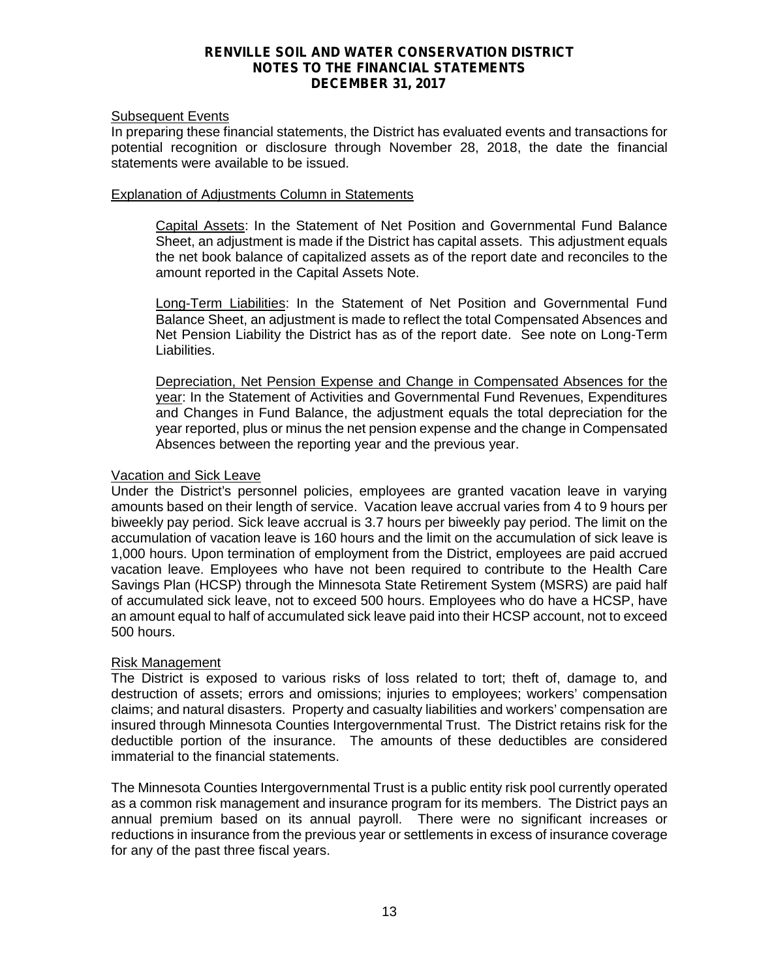#### Subsequent Events

In preparing these financial statements, the District has evaluated events and transactions for potential recognition or disclosure through November 28, 2018, the date the financial statements were available to be issued.

## Explanation of Adjustments Column in Statements

Capital Assets: In the Statement of Net Position and Governmental Fund Balance Sheet, an adjustment is made if the District has capital assets. This adjustment equals the net book balance of capitalized assets as of the report date and reconciles to the amount reported in the Capital Assets Note.

Long-Term Liabilities: In the Statement of Net Position and Governmental Fund Balance Sheet, an adjustment is made to reflect the total Compensated Absences and Net Pension Liability the District has as of the report date. See note on Long-Term Liabilities.

Depreciation, Net Pension Expense and Change in Compensated Absences for the year: In the Statement of Activities and Governmental Fund Revenues, Expenditures and Changes in Fund Balance, the adjustment equals the total depreciation for the year reported, plus or minus the net pension expense and the change in Compensated Absences between the reporting year and the previous year.

## Vacation and Sick Leave

Under the District's personnel policies, employees are granted vacation leave in varying amounts based on their length of service. Vacation leave accrual varies from 4 to 9 hours per biweekly pay period. Sick leave accrual is 3.7 hours per biweekly pay period. The limit on the accumulation of vacation leave is 160 hours and the limit on the accumulation of sick leave is 1,000 hours. Upon termination of employment from the District, employees are paid accrued vacation leave. Employees who have not been required to contribute to the Health Care Savings Plan (HCSP) through the Minnesota State Retirement System (MSRS) are paid half of accumulated sick leave, not to exceed 500 hours. Employees who do have a HCSP, have an amount equal to half of accumulated sick leave paid into their HCSP account, not to exceed 500 hours.

## Risk Management

The District is exposed to various risks of loss related to tort; theft of, damage to, and destruction of assets; errors and omissions; injuries to employees; workers' compensation claims; and natural disasters. Property and casualty liabilities and workers' compensation are insured through Minnesota Counties Intergovernmental Trust. The District retains risk for the deductible portion of the insurance. The amounts of these deductibles are considered immaterial to the financial statements.

The Minnesota Counties Intergovernmental Trust is a public entity risk pool currently operated as a common risk management and insurance program for its members. The District pays an annual premium based on its annual payroll. There were no significant increases or reductions in insurance from the previous year or settlements in excess of insurance coverage for any of the past three fiscal years.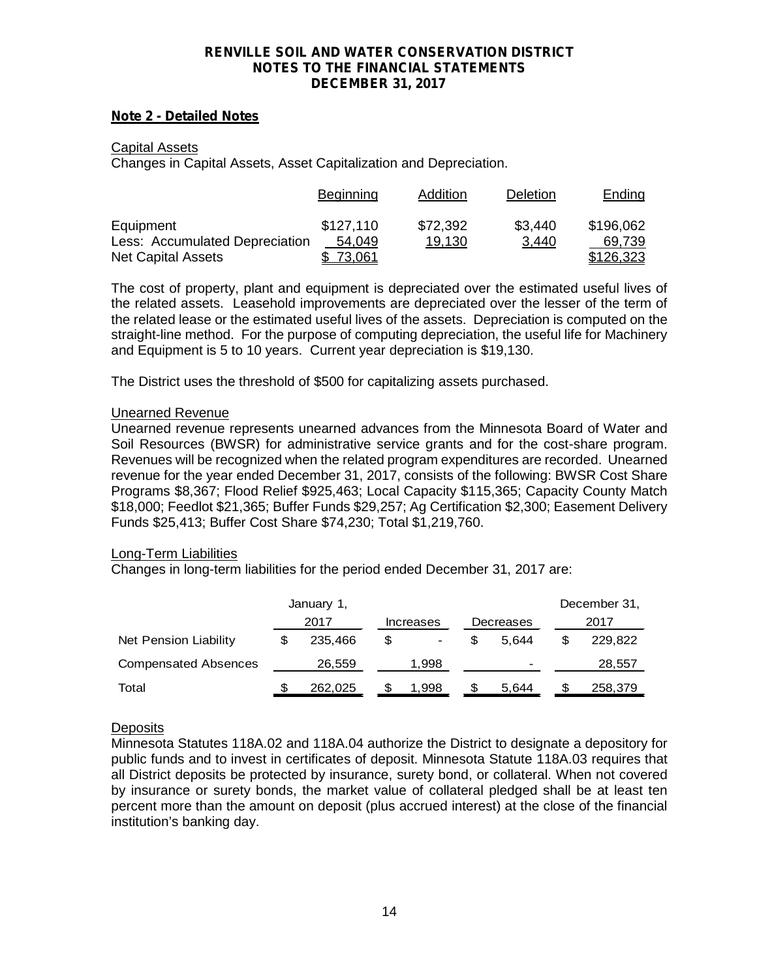## **Note 2 - Detailed Notes**

#### Capital Assets

Changes in Capital Assets, Asset Capitalization and Depreciation.

|                                | <b>Beginning</b> | Addition | Deletion | Ending    |  |
|--------------------------------|------------------|----------|----------|-----------|--|
| Equipment                      | \$127,110        | \$72,392 | \$3,440  | \$196,062 |  |
| Less: Accumulated Depreciation | 54.049           | 19,130   | 3,440    | 69,739    |  |
| <b>Net Capital Assets</b>      | 73,061           |          |          | \$126,323 |  |

The cost of property, plant and equipment is depreciated over the estimated useful lives of the related assets. Leasehold improvements are depreciated over the lesser of the term of the related lease or the estimated useful lives of the assets. Depreciation is computed on the straight-line method. For the purpose of computing depreciation, the useful life for Machinery and Equipment is 5 to 10 years. Current year depreciation is \$19,130.

The District uses the threshold of \$500 for capitalizing assets purchased.

## Unearned Revenue

Unearned revenue represents unearned advances from the Minnesota Board of Water and Soil Resources (BWSR) for administrative service grants and for the cost-share program. Revenues will be recognized when the related program expenditures are recorded. Unearned revenue for the year ended December 31, 2017, consists of the following: BWSR Cost Share Programs \$8,367; Flood Relief \$925,463; Local Capacity \$115,365; Capacity County Match \$18,000; Feedlot \$21,365; Buffer Funds \$29,257; Ag Certification \$2,300; Easement Delivery Funds \$25,413; Buffer Cost Share \$74,230; Total \$1,219,760.

#### Long-Term Liabilities

Changes in long-term liabilities for the period ended December 31, 2017 are:

|                             |   | January 1,               |    |                |       | December 31, |
|-----------------------------|---|--------------------------|----|----------------|-------|--------------|
|                             |   | 2017<br><b>Increases</b> |    | Decreases      | 2017  |              |
| Net Pension Liability       | S | 235,466                  | \$ | $\blacksquare$ | 5.644 | 229,822      |
| <b>Compensated Absences</b> |   | 26,559                   |    | 1.998          |       | 28,557       |
| Total                       |   | 262,025                  |    | 1,998          | 5.644 | 258,379      |

#### **Deposits**

Minnesota Statutes 118A.02 and 118A.04 authorize the District to designate a depository for public funds and to invest in certificates of deposit. Minnesota Statute 118A.03 requires that all District deposits be protected by insurance, surety bond, or collateral. When not covered by insurance or surety bonds, the market value of collateral pledged shall be at least ten percent more than the amount on deposit (plus accrued interest) at the close of the financial institution's banking day.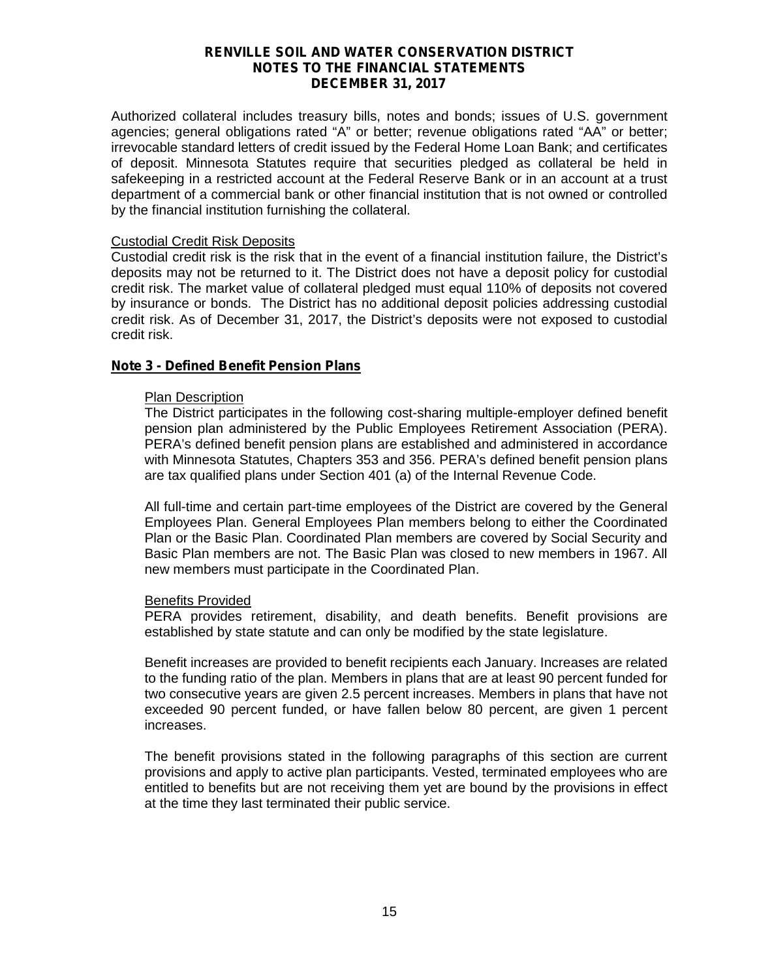Authorized collateral includes treasury bills, notes and bonds; issues of U.S. government agencies; general obligations rated "A" or better; revenue obligations rated "AA" or better; irrevocable standard letters of credit issued by the Federal Home Loan Bank; and certificates of deposit. Minnesota Statutes require that securities pledged as collateral be held in safekeeping in a restricted account at the Federal Reserve Bank or in an account at a trust department of a commercial bank or other financial institution that is not owned or controlled by the financial institution furnishing the collateral.

## Custodial Credit Risk Deposits

Custodial credit risk is the risk that in the event of a financial institution failure, the District's deposits may not be returned to it. The District does not have a deposit policy for custodial credit risk. The market value of collateral pledged must equal 110% of deposits not covered by insurance or bonds. The District has no additional deposit policies addressing custodial credit risk. As of December 31, 2017, the District's deposits were not exposed to custodial credit risk.

## **Note 3 - Defined Benefit Pension Plans**

## Plan Description

The District participates in the following cost-sharing multiple-employer defined benefit pension plan administered by the Public Employees Retirement Association (PERA). PERA's defined benefit pension plans are established and administered in accordance with Minnesota Statutes, Chapters 353 and 356. PERA's defined benefit pension plans are tax qualified plans under Section 401 (a) of the Internal Revenue Code.

All full-time and certain part-time employees of the District are covered by the General Employees Plan. General Employees Plan members belong to either the Coordinated Plan or the Basic Plan. Coordinated Plan members are covered by Social Security and Basic Plan members are not. The Basic Plan was closed to new members in 1967. All new members must participate in the Coordinated Plan.

#### Benefits Provided

PERA provides retirement, disability, and death benefits. Benefit provisions are established by state statute and can only be modified by the state legislature.

Benefit increases are provided to benefit recipients each January. Increases are related to the funding ratio of the plan. Members in plans that are at least 90 percent funded for two consecutive years are given 2.5 percent increases. Members in plans that have not exceeded 90 percent funded, or have fallen below 80 percent, are given 1 percent increases.

The benefit provisions stated in the following paragraphs of this section are current provisions and apply to active plan participants. Vested, terminated employees who are entitled to benefits but are not receiving them yet are bound by the provisions in effect at the time they last terminated their public service.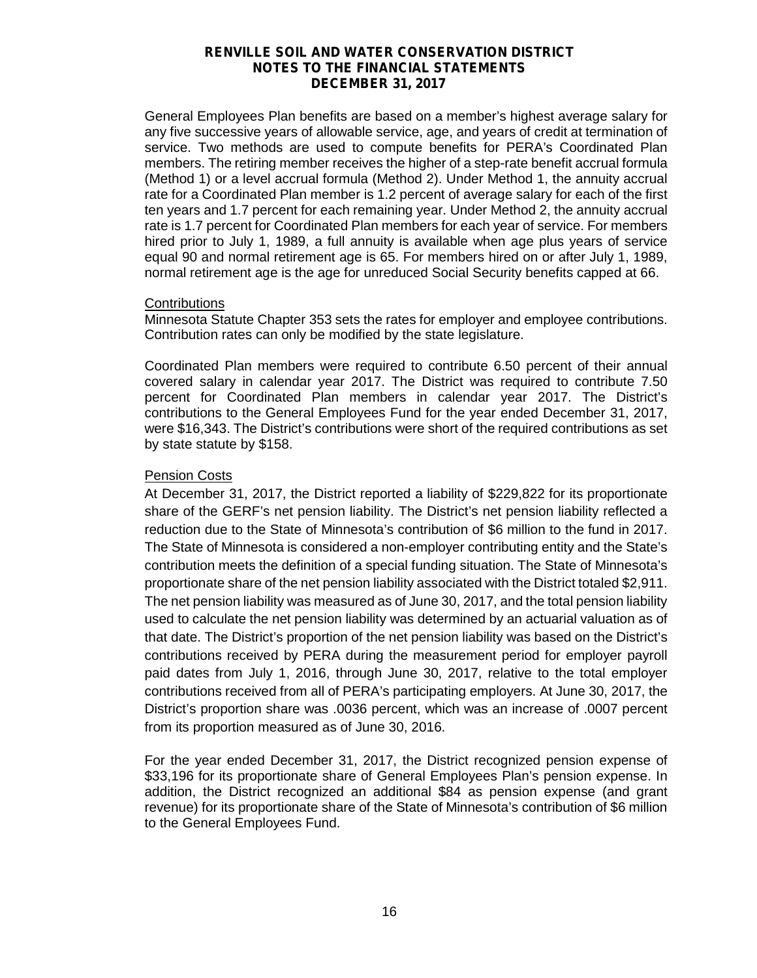General Employees Plan benefits are based on a member's highest average salary for any five successive years of allowable service, age, and years of credit at termination of service. Two methods are used to compute benefits for PERA's Coordinated Plan members. The retiring member receives the higher of a step-rate benefit accrual formula (Method 1) or a level accrual formula (Method 2). Under Method 1, the annuity accrual rate for a Coordinated Plan member is 1.2 percent of average salary for each of the first ten years and 1.7 percent for each remaining year. Under Method 2, the annuity accrual rate is 1.7 percent for Coordinated Plan members for each year of service. For members hired prior to July 1, 1989, a full annuity is available when age plus years of service equal 90 and normal retirement age is 65. For members hired on or after July 1, 1989, normal retirement age is the age for unreduced Social Security benefits capped at 66.

## **Contributions**

Minnesota Statute Chapter 353 sets the rates for employer and employee contributions. Contribution rates can only be modified by the state legislature.

Coordinated Plan members were required to contribute 6.50 percent of their annual covered salary in calendar year 2017. The District was required to contribute 7.50 percent for Coordinated Plan members in calendar year 2017. The District's contributions to the General Employees Fund for the year ended December 31, 2017, were \$16,343. The District's contributions were short of the required contributions as set by state statute by \$158.

## Pension Costs

At December 31, 2017, the District reported a liability of \$229,822 for its proportionate share of the GERF's net pension liability. The District's net pension liability reflected a reduction due to the State of Minnesota's contribution of \$6 million to the fund in 2017. The State of Minnesota is considered a non-employer contributing entity and the State's contribution meets the definition of a special funding situation. The State of Minnesota's proportionate share of the net pension liability associated with the District totaled \$2,911. The net pension liability was measured as of June 30, 2017, and the total pension liability used to calculate the net pension liability was determined by an actuarial valuation as of that date. The District's proportion of the net pension liability was based on the District's contributions received by PERA during the measurement period for employer payroll paid dates from July 1, 2016, through June 30, 2017, relative to the total employer contributions received from all of PERA's participating employers. At June 30, 2017, the District's proportion share was .0036 percent, which was an increase of .0007 percent from its proportion measured as of June 30, 2016.

For the year ended December 31, 2017, the District recognized pension expense of \$33,196 for its proportionate share of General Employees Plan's pension expense. In addition, the District recognized an additional \$84 as pension expense (and grant revenue) for its proportionate share of the State of Minnesota's contribution of \$6 million to the General Employees Fund.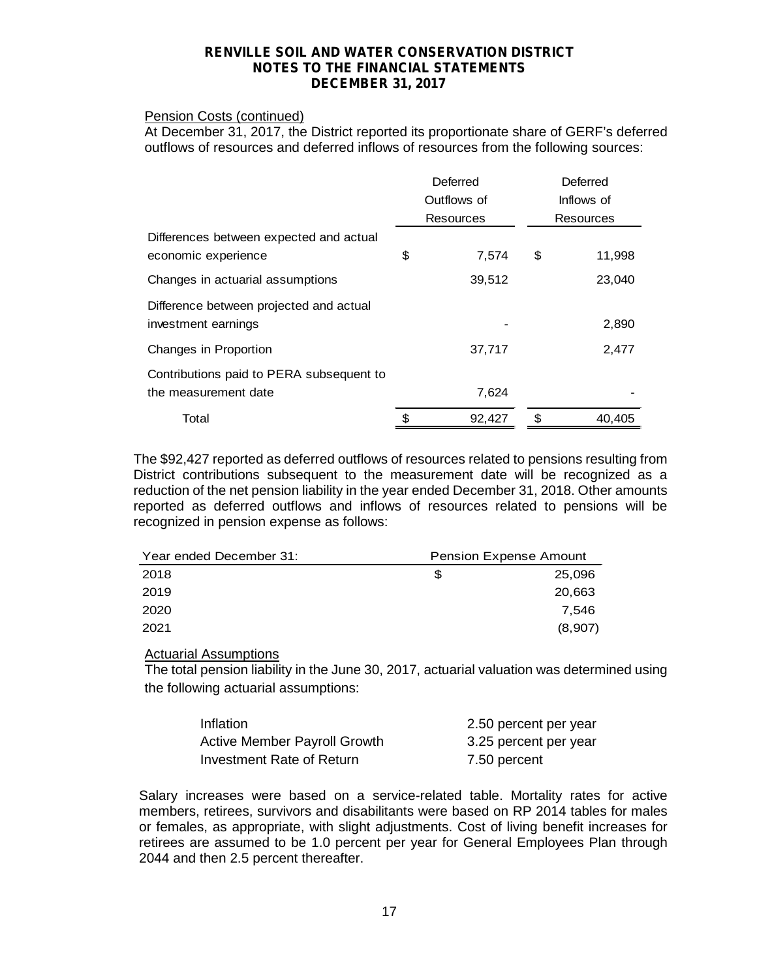#### Pension Costs (continued)

At December 31, 2017, the District reported its proportionate share of GERF's deferred outflows of resources and deferred inflows of resources from the following sources:

|                                                                  | Deferred    |           | Deferred   |                  |
|------------------------------------------------------------------|-------------|-----------|------------|------------------|
|                                                                  | Outflows of |           | Inflows of |                  |
|                                                                  |             | Resources |            | <b>Resources</b> |
| Differences between expected and actual<br>economic experience   | \$          | 7,574     | \$         | 11,998           |
| Changes in actuarial assumptions                                 |             | 39,512    |            | 23,040           |
| Difference between projected and actual<br>investment earnings   |             |           |            | 2,890            |
| Changes in Proportion                                            |             | 37,717    |            | 2,477            |
| Contributions paid to PERA subsequent to<br>the measurement date |             | 7,624     |            |                  |
| Total                                                            |             | 92,427    |            | 40.405           |

The \$92,427 reported as deferred outflows of resources related to pensions resulting from District contributions subsequent to the measurement date will be recognized as a reduction of the net pension liability in the year ended December 31, 2018. Other amounts reported as deferred outflows and inflows of resources related to pensions will be recognized in pension expense as follows:

| Year ended December 31: | <b>Pension Expense Amount</b> |         |  |  |
|-------------------------|-------------------------------|---------|--|--|
| 2018                    | S                             | 25,096  |  |  |
| 2019                    |                               | 20,663  |  |  |
| 2020                    |                               | 7.546   |  |  |
| 2021                    |                               | (8,907) |  |  |

Actuarial Assumptions

The total pension liability in the June 30, 2017, actuarial valuation was determined using the following actuarial assumptions:

| Inflation                           | 2.50 percent per year |
|-------------------------------------|-----------------------|
| <b>Active Member Payroll Growth</b> | 3.25 percent per year |
| Investment Rate of Return           | 7.50 percent          |

Salary increases were based on a service-related table. Mortality rates for active members, retirees, survivors and disabilitants were based on RP 2014 tables for males or females, as appropriate, with slight adjustments. Cost of living benefit increases for retirees are assumed to be 1.0 percent per year for General Employees Plan through 2044 and then 2.5 percent thereafter.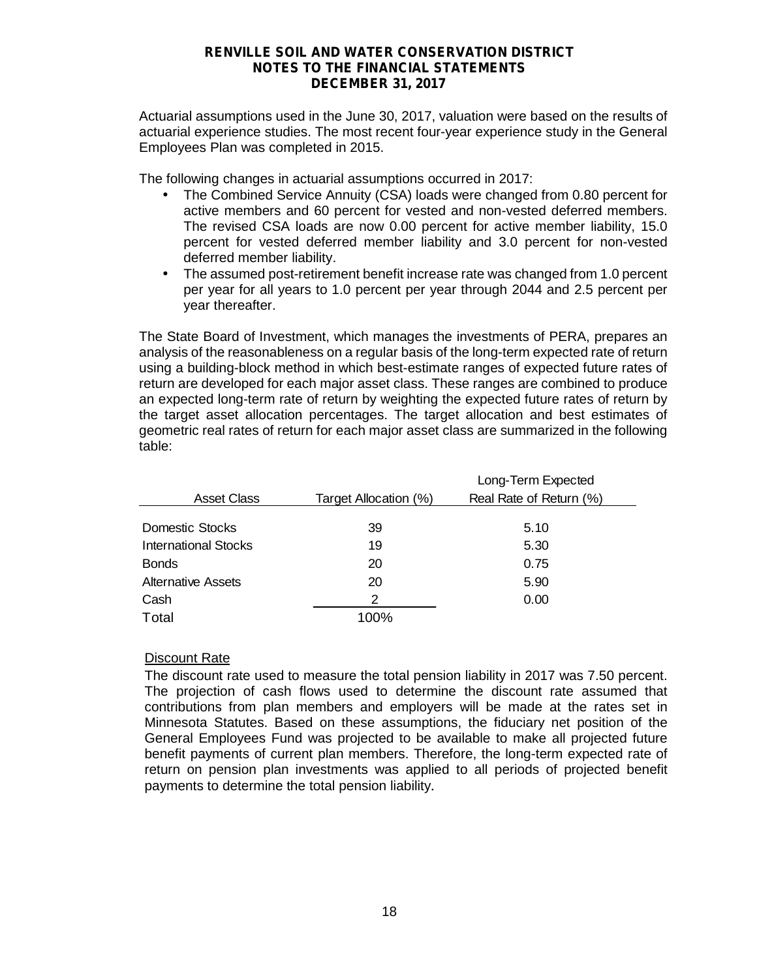Actuarial assumptions used in the June 30, 2017, valuation were based on the results of actuarial experience studies. The most recent four-year experience study in the General Employees Plan was completed in 2015.

The following changes in actuarial assumptions occurred in 2017:

- The Combined Service Annuity (CSA) loads were changed from 0.80 percent for active members and 60 percent for vested and non-vested deferred members. The revised CSA loads are now 0.00 percent for active member liability, 15.0 percent for vested deferred member liability and 3.0 percent for non-vested deferred member liability.
- The assumed post-retirement benefit increase rate was changed from 1.0 percent per year for all years to 1.0 percent per year through 2044 and 2.5 percent per year thereafter.

The State Board of Investment, which manages the investments of PERA, prepares an analysis of the reasonableness on a regular basis of the long-term expected rate of return using a building-block method in which best-estimate ranges of expected future rates of return are developed for each major asset class. These ranges are combined to produce an expected long-term rate of return by weighting the expected future rates of return by the target asset allocation percentages. The target allocation and best estimates of geometric real rates of return for each major asset class are summarized in the following table:

|                             |                       | Long-Term Expected      |
|-----------------------------|-----------------------|-------------------------|
| <b>Asset Class</b>          | Target Allocation (%) | Real Rate of Return (%) |
| Domestic Stocks             | 39                    | 5.10                    |
| <b>International Stocks</b> | 19                    | 5.30                    |
| <b>Bonds</b>                | 20                    | 0.75                    |
| Alternative Assets          | 20                    | 5.90                    |
| Cash                        | 2                     | 0.00                    |
| Total                       | 100%                  |                         |

## Discount Rate

The discount rate used to measure the total pension liability in 2017 was 7.50 percent. The projection of cash flows used to determine the discount rate assumed that contributions from plan members and employers will be made at the rates set in Minnesota Statutes. Based on these assumptions, the fiduciary net position of the General Employees Fund was projected to be available to make all projected future benefit payments of current plan members. Therefore, the long-term expected rate of return on pension plan investments was applied to all periods of projected benefit payments to determine the total pension liability.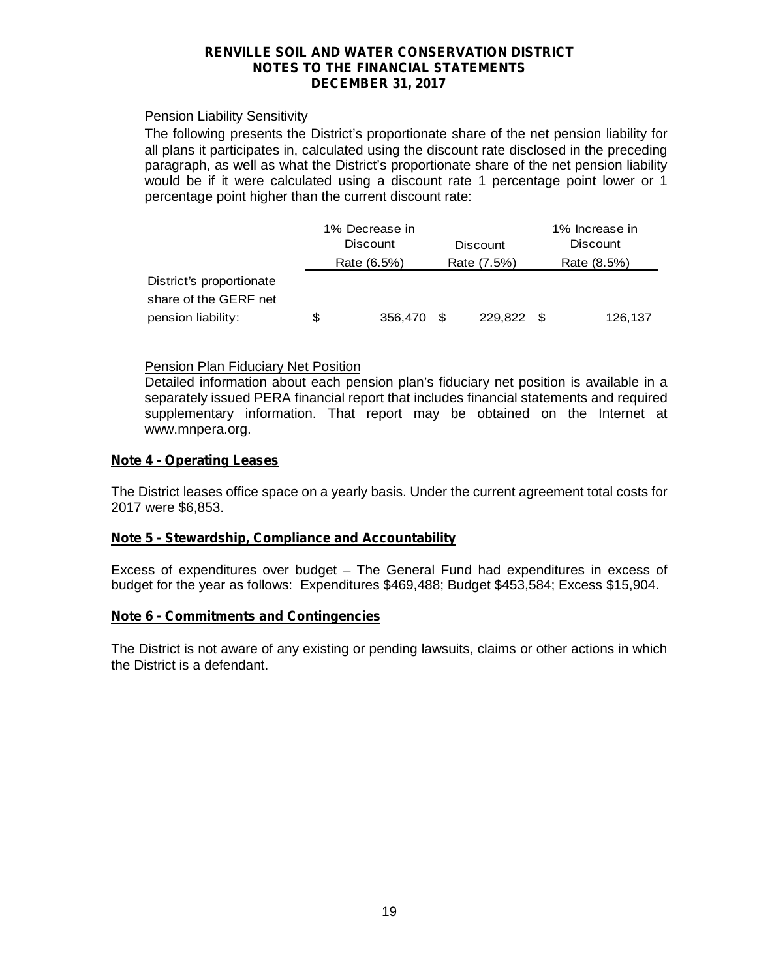## Pension Liability Sensitivity

The following presents the District's proportionate share of the net pension liability for all plans it participates in, calculated using the discount rate disclosed in the preceding paragraph, as well as what the District's proportionate share of the net pension liability would be if it were calculated using a discount rate 1 percentage point lower or 1 percentage point higher than the current discount rate:

|                          | 1% Decrease in<br><b>Discount</b> | <b>Discount</b> | 1% Increase in<br><b>Discount</b> |
|--------------------------|-----------------------------------|-----------------|-----------------------------------|
|                          | Rate (6.5%)                       | Rate (7.5%)     | Rate (8.5%)                       |
| District's proportionate |                                   |                 |                                   |
| share of the GERF net    |                                   |                 |                                   |
| pension liability:       | \$<br>356,470                     | 229,822 \$      | 126,137                           |

## Pension Plan Fiduciary Net Position

Detailed information about each pension plan's fiduciary net position is available in a separately issued PERA financial report that includes financial statements and required supplementary information. That report may be obtained on the Internet at www.mnpera.org.

## **Note 4 - Operating Leases**

The District leases office space on a yearly basis. Under the current agreement total costs for 2017 were \$6,853.

## **Note 5 - Stewardship, Compliance and Accountability**

Excess of expenditures over budget – The General Fund had expenditures in excess of budget for the year as follows: Expenditures \$469,488; Budget \$453,584; Excess \$15,904.

#### **Note 6 - Commitments and Contingencies**

The District is not aware of any existing or pending lawsuits, claims or other actions in which the District is a defendant.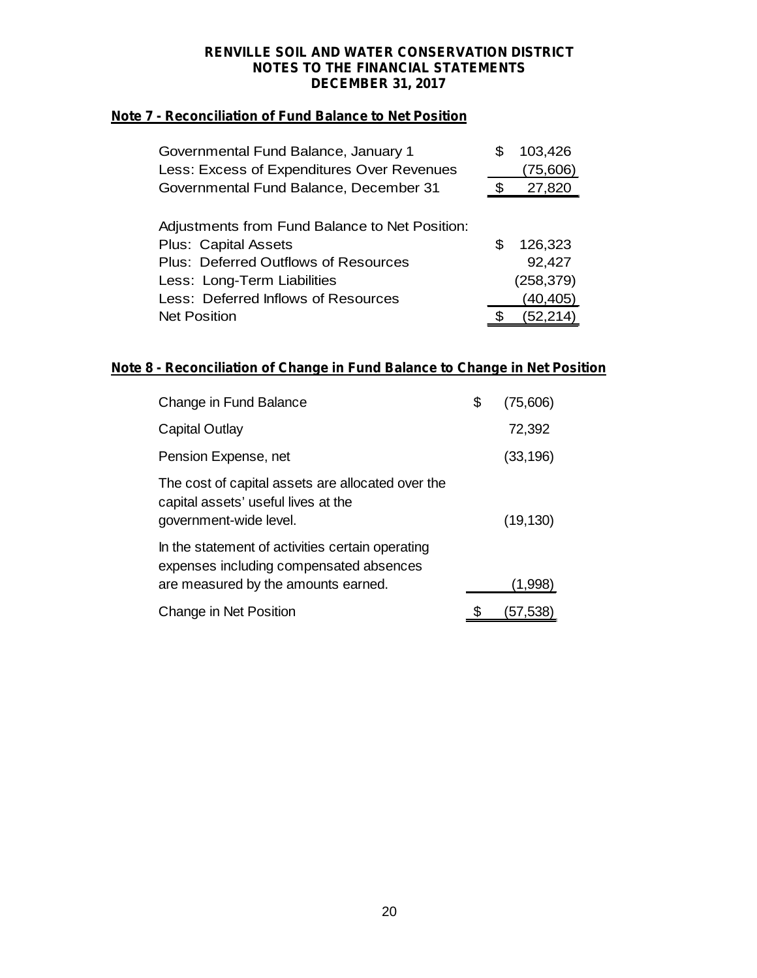## **Note 7 - Reconciliation of Fund Balance to Net Position**

| Governmental Fund Balance, January 1<br>Less: Excess of Expenditures Over Revenues | S   | 103,426<br>(75,606) |
|------------------------------------------------------------------------------------|-----|---------------------|
| Governmental Fund Balance, December 31                                             |     | 27,820              |
| Adjustments from Fund Balance to Net Position:                                     |     |                     |
| <b>Plus: Capital Assets</b>                                                        | \$. | 126,323             |
| <b>Plus: Deferred Outflows of Resources</b>                                        |     | 92,427              |
| Less: Long-Term Liabilities                                                        |     | (258, 379)          |
| Less: Deferred Inflows of Resources                                                |     | (40,405)            |
| <b>Net Position</b>                                                                |     | (52,214)            |

# **Note 8 - Reconciliation of Change in Fund Balance to Change in Net Position**

| Change in Fund Balance                                                                                                             | (75,606)  |
|------------------------------------------------------------------------------------------------------------------------------------|-----------|
| Capital Outlay                                                                                                                     | 72,392    |
| Pension Expense, net                                                                                                               | (33, 196) |
| The cost of capital assets are allocated over the<br>capital assets' useful lives at the<br>government-wide level.                 | (19, 130) |
| In the statement of activities certain operating<br>expenses including compensated absences<br>are measured by the amounts earned. | (1,998)   |
| Change in Net Position                                                                                                             | (57,538)  |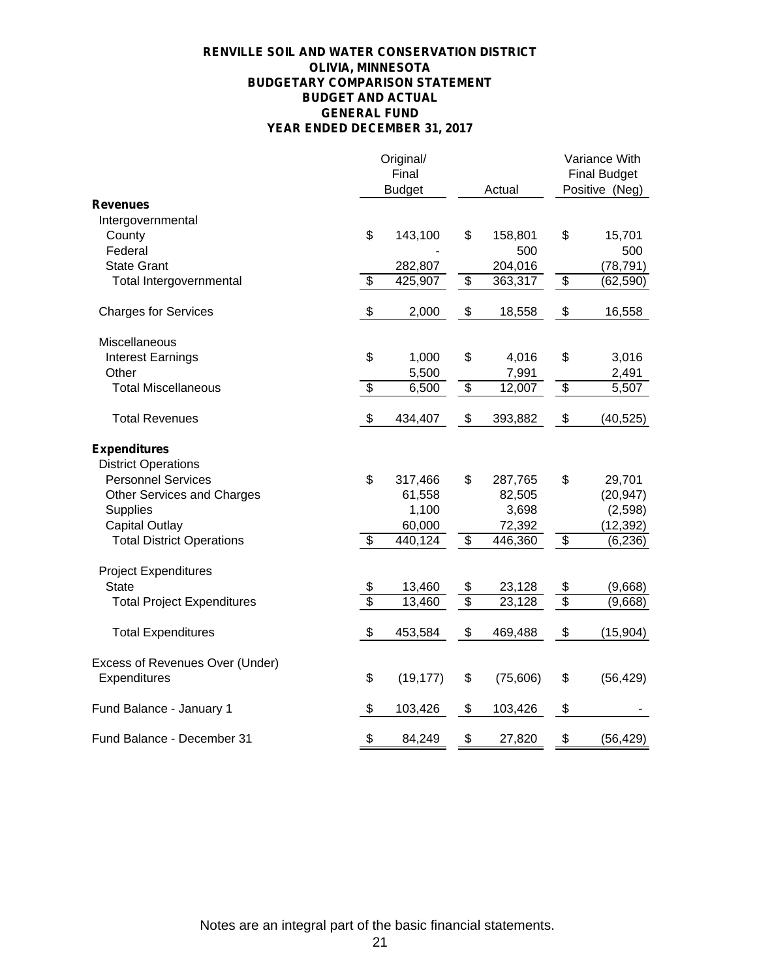#### **RENVILLE SOIL AND WATER CONSERVATION DISTRICT OLIVIA, MINNESOTA BUDGETARY COMPARISON STATEMENT BUDGET AND ACTUAL GENERAL FUND YEAR ENDED DECEMBER 31, 2017**

|                                   |                          | Original/<br>Final |                         |          |                            | Variance With<br><b>Final Budget</b> |
|-----------------------------------|--------------------------|--------------------|-------------------------|----------|----------------------------|--------------------------------------|
|                                   |                          | <b>Budget</b>      | Actual                  |          | Positive (Neg)             |                                      |
| <b>Revenues</b>                   |                          |                    |                         |          |                            |                                      |
| Intergovernmental                 |                          |                    |                         |          |                            |                                      |
| County                            | \$                       | 143,100            | \$                      | 158,801  | \$                         | 15,701                               |
| Federal                           |                          |                    |                         | 500      |                            | 500                                  |
| <b>State Grant</b>                |                          | 282,807            |                         | 204,016  |                            | (78, 791)                            |
| Total Intergovernmental           | $\overline{\mathcal{E}}$ | 425,907            | \$                      | 363,317  | \$                         | (62,590)                             |
| <b>Charges for Services</b>       | \$                       | 2,000              | \$                      | 18,558   | $\,$                       | 16,558                               |
| Miscellaneous                     |                          |                    |                         |          |                            |                                      |
| <b>Interest Earnings</b>          | \$                       | 1,000              | \$                      | 4,016    | \$                         | 3,016                                |
| Other                             |                          | 5,500              |                         | 7,991    |                            | 2,491                                |
| <b>Total Miscellaneous</b>        | $\overline{\$}$          | 6,500              | $\overline{\$}$         | 12,007   | $\overline{\mathcal{E}}$   | $\overline{5,}507$                   |
| <b>Total Revenues</b>             | \$                       | 434,407            | \$                      | 393,882  | \$                         | (40, 525)                            |
| <b>Expenditures</b>               |                          |                    |                         |          |                            |                                      |
| <b>District Operations</b>        |                          |                    |                         |          |                            |                                      |
| <b>Personnel Services</b>         | \$                       | 317,466            | \$                      | 287,765  | \$                         | 29,701                               |
| <b>Other Services and Charges</b> |                          | 61,558             |                         | 82,505   |                            | (20, 947)                            |
| <b>Supplies</b>                   |                          | 1,100              |                         | 3,698    |                            | (2, 598)                             |
| <b>Capital Outlay</b>             |                          | 60,000             |                         | 72,392   |                            | (12, 392)                            |
| <b>Total District Operations</b>  | $\overline{\mathcal{S}}$ | 440,124            | $\overline{\mathbf{S}}$ | 446,360  | $\overline{\mathbf{G}}$    | (6, 236)                             |
| <b>Project Expenditures</b>       |                          |                    |                         |          |                            |                                      |
| <b>State</b>                      | $\frac{1}{2}$            | 13,460             | \$                      | 23,128   | \$                         | (9,668)                              |
| <b>Total Project Expenditures</b> | $\overline{\$}$          | 13,460             | $\overline{\$}$         | 23,128   | $\overline{\$}$            | (9,668)                              |
| <b>Total Expenditures</b>         | \$                       | 453,584            | \$                      | 469,488  | $\boldsymbol{\mathsf{\$}}$ | (15, 904)                            |
| Excess of Revenues Over (Under)   |                          |                    |                         |          |                            |                                      |
| Expenditures                      | \$                       | (19, 177)          | \$                      | (75,606) | \$                         | (56, 429)                            |
| Fund Balance - January 1          | \$                       | 103,426            | \$                      | 103,426  | \$                         |                                      |
| Fund Balance - December 31        | \$                       | 84,249             | \$                      | 27,820   | \$                         | (56, 429)                            |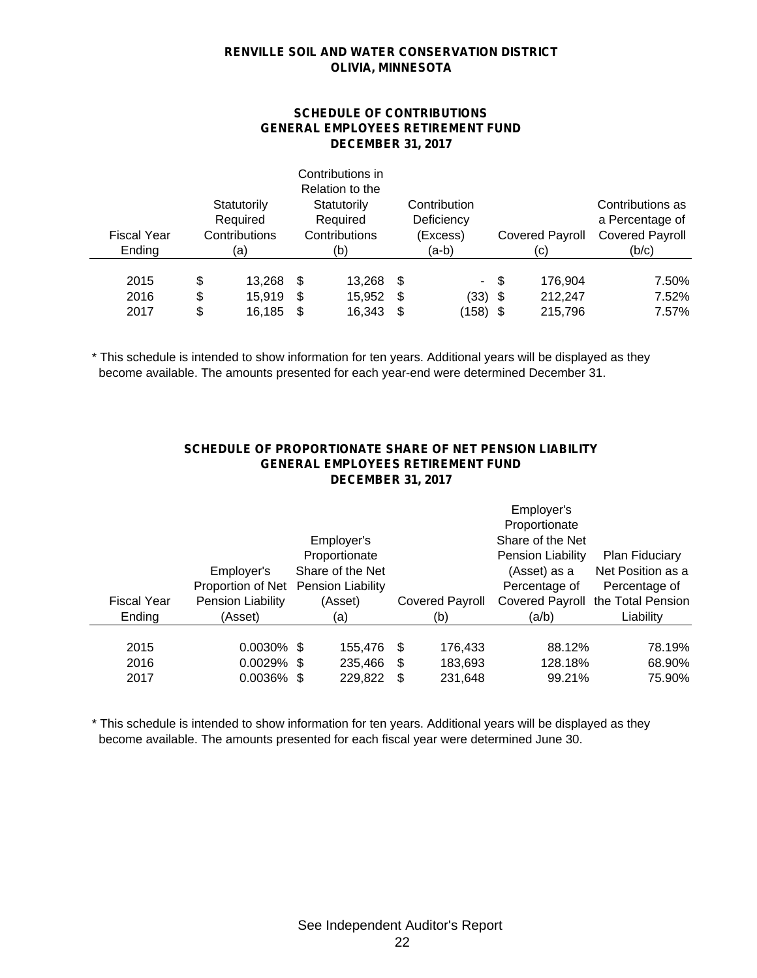## **RENVILLE SOIL AND WATER CONSERVATION DISTRICT OLIVIA, MINNESOTA**

#### **SCHEDULE OF CONTRIBUTIONS GENERAL EMPLOYEES RETIREMENT FUND DECEMBER 31, 2017**

| <b>Fiscal Year</b><br>Ending | Statutorily<br>Required<br>Contributions<br>(a) |                            |             | Contributions in<br>Relation to the<br>Statutorily<br>Required<br>Contributions<br>(b) |                   | Contribution<br>Deficiency<br>(Excess)<br>$(a-b)$ |              | <b>Covered Payroll</b><br>(c) | Contributions as<br>a Percentage of<br><b>Covered Payroll</b><br>(b/c) |
|------------------------------|-------------------------------------------------|----------------------------|-------------|----------------------------------------------------------------------------------------|-------------------|---------------------------------------------------|--------------|-------------------------------|------------------------------------------------------------------------|
| 2015<br>2016<br>2017         | \$<br>\$<br>\$                                  | 13,268<br>15,919<br>16,185 | S<br>S<br>S | 13,268<br>15,952<br>16,343                                                             | - \$<br>- \$<br>S | ٠<br>$(33)$ \$<br>(158)                           | - \$<br>- \$ | 176,904<br>212,247<br>215,796 | 7.50%<br>7.52%<br>7.57%                                                |

\* This schedule is intended to show information for ten years. Additional years will be displayed as they become available. The amounts presented for each year-end were determined December 31.

#### **SCHEDULE OF PROPORTIONATE SHARE OF NET PENSION LIABILITY GENERAL EMPLOYEES RETIREMENT FUND DECEMBER 31, 2017**

|                    |                   |                          |      |                 | Employer's<br>Proportionate |                                   |
|--------------------|-------------------|--------------------------|------|-----------------|-----------------------------|-----------------------------------|
|                    |                   | Employer's               |      |                 | Share of the Net            |                                   |
|                    |                   | Proportionate            |      |                 | Pension Liability           | <b>Plan Fiduciary</b>             |
|                    | Employer's        | Share of the Net         |      |                 | (Asset) as a                | Net Position as a                 |
|                    | Proportion of Net | <b>Pension Liability</b> |      |                 | Percentage of               | Percentage of                     |
| <b>Fiscal Year</b> | Pension Liability | (Asset)                  |      | Covered Payroll |                             | Covered Payroll the Total Pension |
| Ending             | (Asset)           | (a)                      |      | (b)             | (a/b)                       | Liability                         |
|                    |                   |                          |      |                 |                             |                                   |
| 2015               | $0.0030\%$ \$     | 155,476                  | - \$ | 176.433         | 88.12%                      | 78.19%                            |
| 2016               | $0.0029\%$ \$     | 235,466                  | \$   | 183,693         | 128.18%                     | 68.90%                            |
| 2017               | $0.0036\%$ \$     | 229,822                  | \$   | 231,648         | 99.21%                      | 75.90%                            |
|                    |                   |                          |      |                 |                             |                                   |

\* This schedule is intended to show information for ten years. Additional years will be displayed as they become available. The amounts presented for each fiscal year were determined June 30.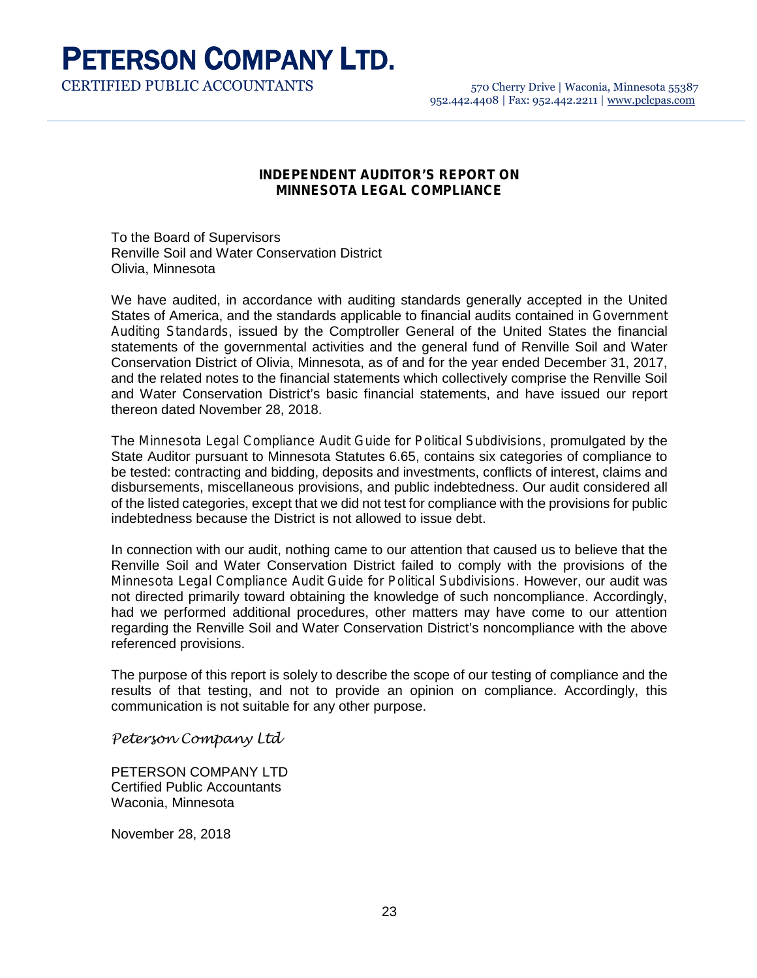# **PETERSON COMPANY LTD.**

## **INDEPENDENT AUDITOR'S REPORT ON MINNESOTA LEGAL COMPLIANCE**

To the Board of Supervisors Renville Soil and Water Conservation District Olivia, Minnesota

We have audited, in accordance with auditing standards generally accepted in the United States of America, and the standards applicable to financial audits contained in *Government Auditing Standards*, issued by the Comptroller General of the United States the financial statements of the governmental activities and the general fund of Renville Soil and Water Conservation District of Olivia, Minnesota, as of and for the year ended December 31, 2017, and the related notes to the financial statements which collectively comprise the Renville Soil and Water Conservation District's basic financial statements, and have issued our report thereon dated November 28, 2018.

The *Minnesota Legal Compliance Audit Guide for Political Subdivisions*, promulgated by the State Auditor pursuant to Minnesota Statutes 6.65, contains six categories of compliance to be tested: contracting and bidding, deposits and investments, conflicts of interest, claims and disbursements, miscellaneous provisions, and public indebtedness. Our audit considered all of the listed categories, except that we did not test for compliance with the provisions for public indebtedness because the District is not allowed to issue debt.

In connection with our audit, nothing came to our attention that caused us to believe that the Renville Soil and Water Conservation District failed to comply with the provisions of the *Minnesota Legal Compliance Audit Guide for Political Subdivisions*. However, our audit was not directed primarily toward obtaining the knowledge of such noncompliance. Accordingly, had we performed additional procedures, other matters may have come to our attention regarding the Renville Soil and Water Conservation District's noncompliance with the above referenced provisions.

The purpose of this report is solely to describe the scope of our testing of compliance and the results of that testing, and not to provide an opinion on compliance. Accordingly, this communication is not suitable for any other purpose.

Peterson Company Ltd

PETERSON COMPANY LTD Certified Public Accountants Waconia, Minnesota

November 28, 2018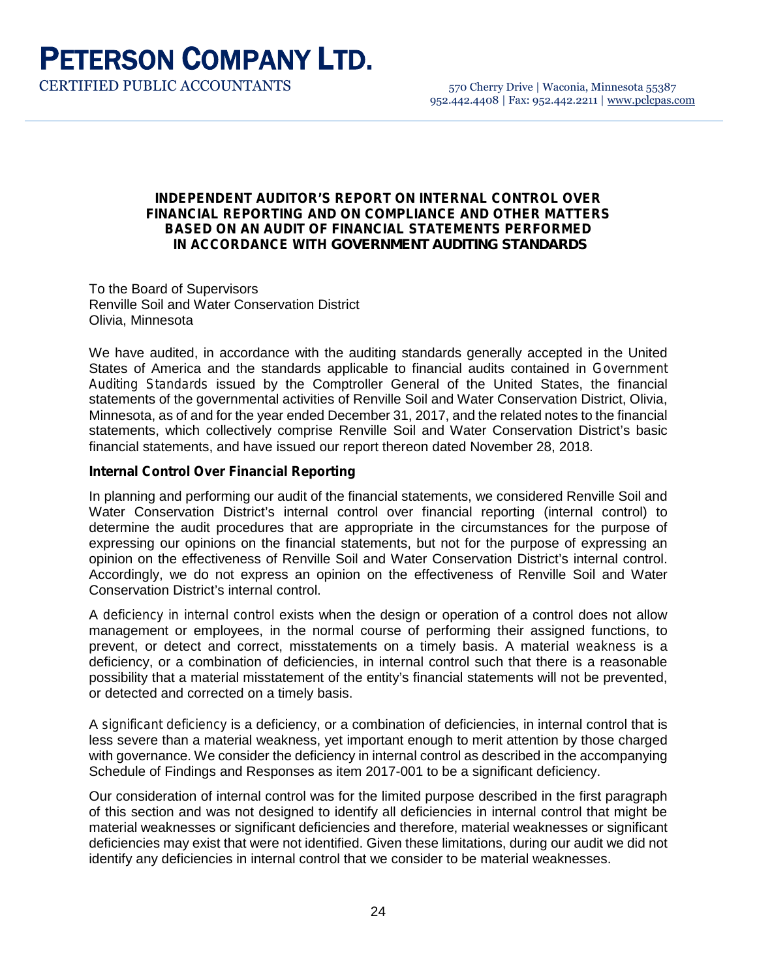# **PETERSON COMPANY LTD.**

## **INDEPENDENT AUDITOR'S REPORT ON INTERNAL CONTROL OVER FINANCIAL REPORTING AND ON COMPLIANCE AND OTHER MATTERS BASED ON AN AUDIT OF FINANCIAL STATEMENTS PERFORMED IN ACCORDANCE WITH** *GOVERNMENT AUDITING STANDARDS*

To the Board of Supervisors Renville Soil and Water Conservation District Olivia, Minnesota

We have audited, in accordance with the auditing standards generally accepted in the United States of America and the standards applicable to financial audits contained in *Government Auditing Standards* issued by the Comptroller General of the United States, the financial statements of the governmental activities of Renville Soil and Water Conservation District, Olivia, Minnesota, as of and for the year ended December 31, 2017, and the related notes to the financial statements, which collectively comprise Renville Soil and Water Conservation District's basic financial statements, and have issued our report thereon dated November 28, 2018.

## **Internal Control Over Financial Reporting**

In planning and performing our audit of the financial statements, we considered Renville Soil and Water Conservation District's internal control over financial reporting (internal control) to determine the audit procedures that are appropriate in the circumstances for the purpose of expressing our opinions on the financial statements, but not for the purpose of expressing an opinion on the effectiveness of Renville Soil and Water Conservation District's internal control. Accordingly, we do not express an opinion on the effectiveness of Renville Soil and Water Conservation District's internal control.

A *deficiency in internal control* exists when the design or operation of a control does not allow management or employees, in the normal course of performing their assigned functions, to prevent, or detect and correct, misstatements on a timely basis. A material *weakness* is a deficiency, or a combination of deficiencies, in internal control such that there is a reasonable possibility that a material misstatement of the entity's financial statements will not be prevented, or detected and corrected on a timely basis.

A *significant deficiency* is a deficiency, or a combination of deficiencies, in internal control that is less severe than a material weakness, yet important enough to merit attention by those charged with governance. We consider the deficiency in internal control as described in the accompanying Schedule of Findings and Responses as item 2017-001 to be a significant deficiency.

Our consideration of internal control was for the limited purpose described in the first paragraph of this section and was not designed to identify all deficiencies in internal control that might be material weaknesses or significant deficiencies and therefore, material weaknesses or significant deficiencies may exist that were not identified. Given these limitations, during our audit we did not identify any deficiencies in internal control that we consider to be material weaknesses.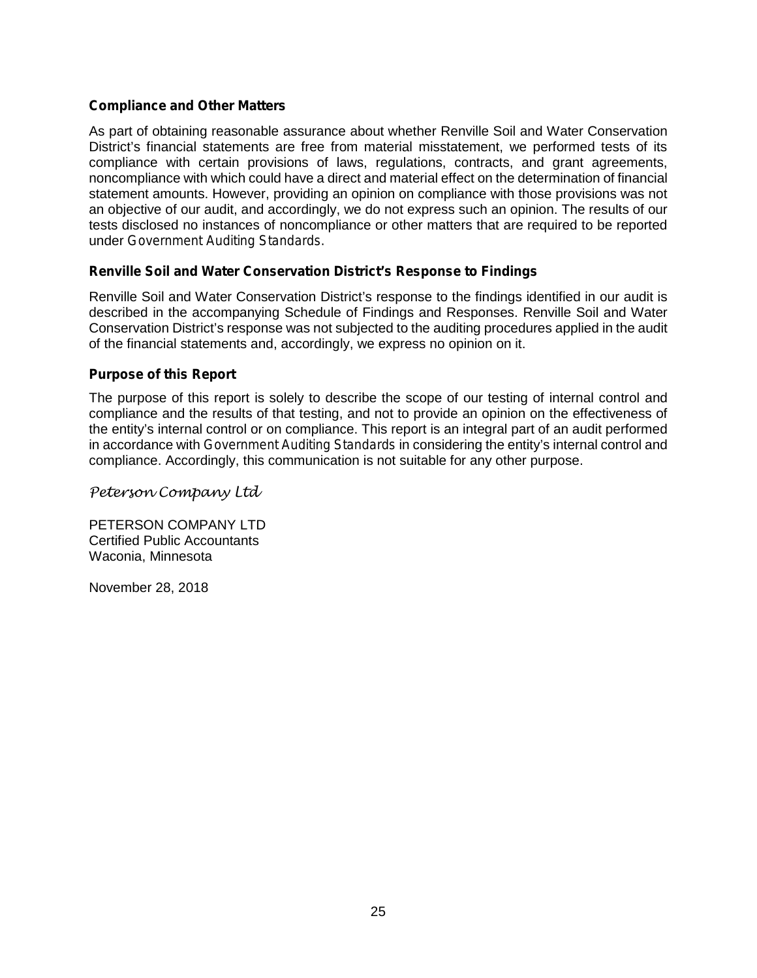## **Compliance and Other Matters**

As part of obtaining reasonable assurance about whether Renville Soil and Water Conservation District's financial statements are free from material misstatement, we performed tests of its compliance with certain provisions of laws, regulations, contracts, and grant agreements, noncompliance with which could have a direct and material effect on the determination of financial statement amounts. However, providing an opinion on compliance with those provisions was not an objective of our audit, and accordingly, we do not express such an opinion. The results of our tests disclosed no instances of noncompliance or other matters that are required to be reported under *Government Auditing Standards.*

#### **Renville Soil and Water Conservation District's Response to Findings**

Renville Soil and Water Conservation District's response to the findings identified in our audit is described in the accompanying Schedule of Findings and Responses. Renville Soil and Water Conservation District's response was not subjected to the auditing procedures applied in the audit of the financial statements and, accordingly, we express no opinion on it.

#### **Purpose of this Report**

The purpose of this report is solely to describe the scope of our testing of internal control and compliance and the results of that testing, and not to provide an opinion on the effectiveness of the entity's internal control or on compliance. This report is an integral part of an audit performed in accordance with *Government Auditing Standards* in considering the entity's internal control and compliance. Accordingly, this communication is not suitable for any other purpose.

Peterson Company Ltd

PETERSON COMPANY LTD Certified Public Accountants Waconia, Minnesota

November 28, 2018